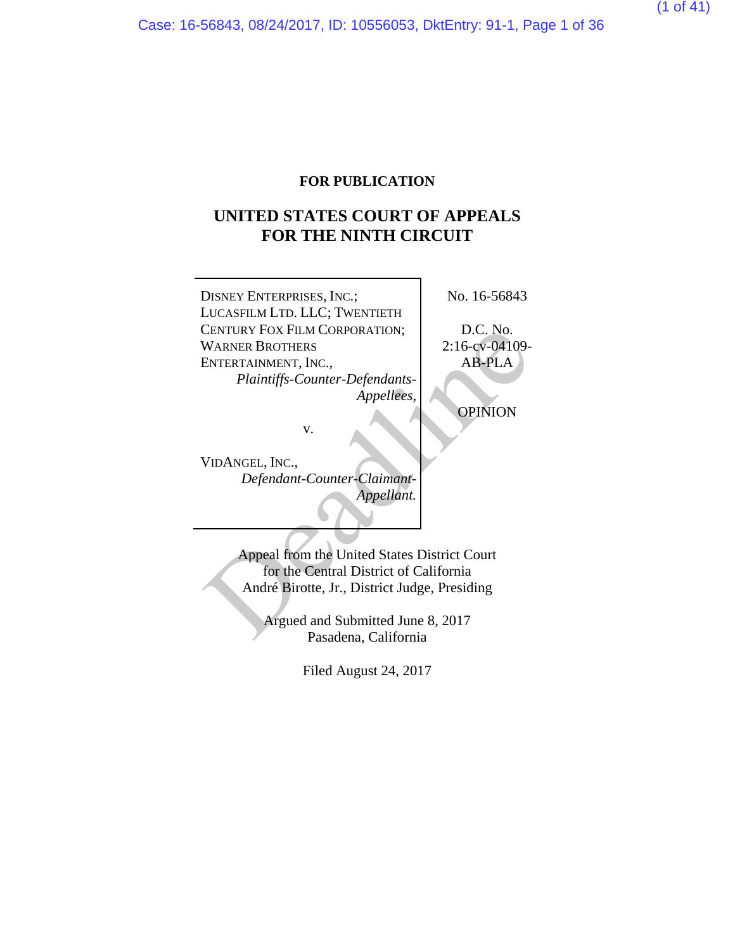### **FOR PUBLICATION**

## **UNITED STATES COURT OF APPEALS FOR THE NINTH CIRCUIT**

DISNEY ENTERPRISES, INC.; LUCASFILM LTD. LLC; TWENTIETH CENTURY FOX FILM CORPORATION; WARNER BROTHERS ENTERTAINMENT, INC., *Plaintiffs-Counter-Defendants-Appellees,* v. No. 16-56843 D.C. No. 2:16-cv-04109- AB-PLA OPINION VENTURY FOX FILM CORPORATION;<br>
WARNER BROTHERS<br>
ENTERTAINMENT, INC.,<br>
Plaintiffs-Counter-Defendants-<br>
Appellees,<br>
Appellees,<br>
OPINION<br>
V.<br>
VIDANGEL, INC.,<br>
Defendant-Counter-Claimant-<br>
Appellant.<br>
Appellant.<br>
Appellant.<br>
A

VIDANGEL, INC., *Defendant-Counter-Claimant-Appellant.*

> Appeal from the United States District Court for the Central District of California André Birotte, Jr., District Judge, Presiding

Argued and Submitted June 8, 2017 Pasadena, California

Filed August 24, 2017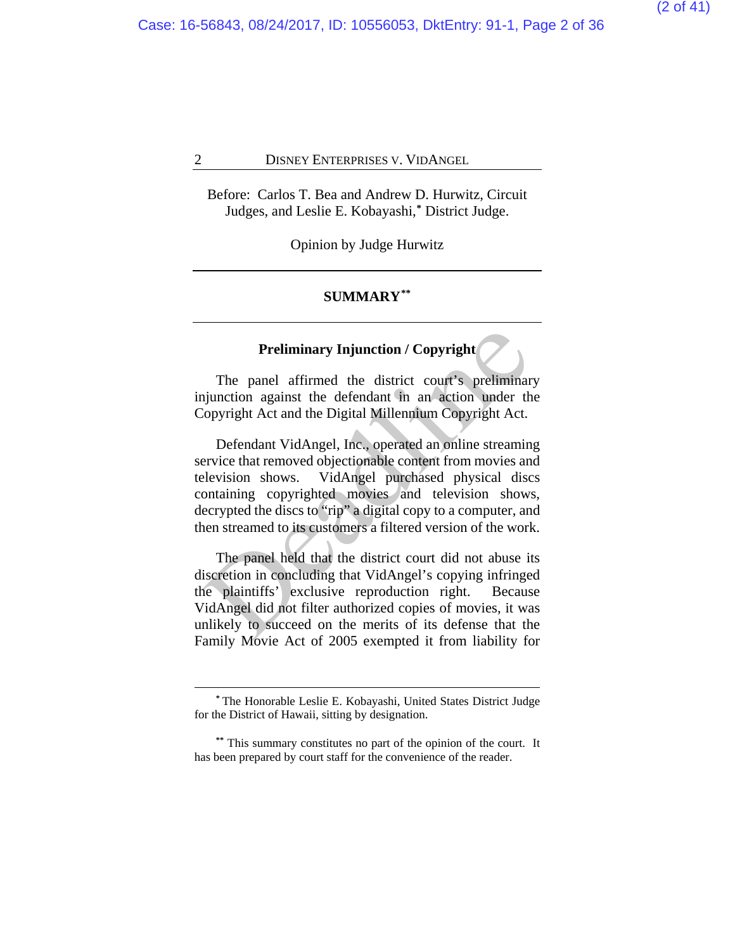Case: 16-56843, 08/24/2017, ID: 10556053, DktEntry: 91-1, Page 2 of 36

#### 2 DISNEY ENTERPRISES V. VIDANGEL

Before: Carlos T. Bea and Andrew D. Hurwitz, Circuit Judges, and Leslie E. Kobayashi,**[\\*](#page-1-0)** District Judge.

Opinion by Judge Hurwitz

#### **SUMMARY[\\*\\*](#page-1-1)**

#### **Preliminary Injunction / Copyright**

The panel affirmed the district court's preliminary injunction against the defendant in an action under the Copyright Act and the Digital Millennium Copyright Act.

Defendant VidAngel, Inc., operated an online streaming service that removed objectionable content from movies and television shows. VidAngel purchased physical discs containing copyrighted movies and television shows, decrypted the discs to "rip" a digital copy to a computer, and then streamed to its customers a filtered version of the work. **Preliminary Injunction / Copyright**<br>
The panel affirmed the district court's preliminar<br>
igunction against the defendant in an action under the<br>
'opyright Act and the Digital Millennium Copyright Act.<br>
Defendant VidAngel,

The panel held that the district court did not abuse its discretion in concluding that VidAngel's copying infringed the plaintiffs' exclusive reproduction right. Because VidAngel did not filter authorized copies of movies, it was unlikely to succeed on the merits of its defense that the Family Movie Act of 2005 exempted it from liability for

**<sup>\*</sup>** The Honorable Leslie E. Kobayashi, United States District Judge for the District of Hawaii, sitting by designation.

<span id="page-1-1"></span><span id="page-1-0"></span>**<sup>\*\*</sup>** This summary constitutes no part of the opinion of the court. It has been prepared by court staff for the convenience of the reader.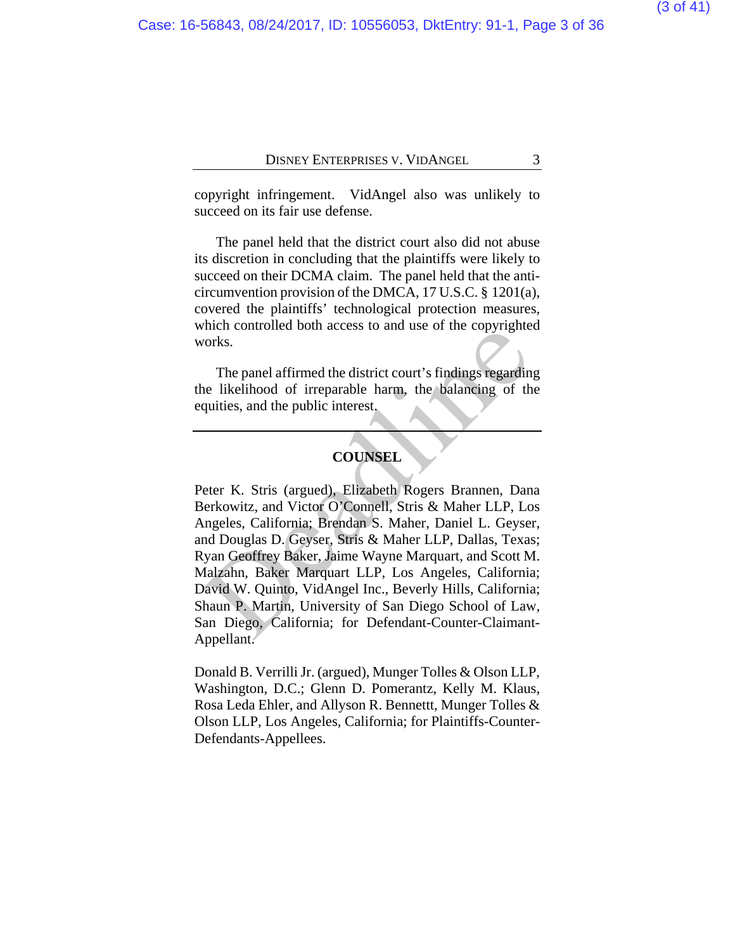copyright infringement. VidAngel also was unlikely to succeed on its fair use defense.

The panel held that the district court also did not abuse its discretion in concluding that the plaintiffs were likely to succeed on their DCMA claim. The panel held that the anticircumvention provision of the DMCA, 17 U.S.C. § 1201(a), covered the plaintiffs' technological protection measures, which controlled both access to and use of the copyrighted works.

The panel affirmed the district court's findings regarding the likelihood of irreparable harm, the balancing of the equities, and the public interest.

#### **COUNSEL**

Peter K. Stris (argued), Elizabeth Rogers Brannen, Dana Berkowitz, and Victor O'Connell, Stris & Maher LLP, Los Angeles, California; Brendan S. Maher, Daniel L. Geyser, and Douglas D. Geyser, Stris & Maher LLP, Dallas, Texas; Ryan Geoffrey Baker, Jaime Wayne Marquart, and Scott M. Malzahn, Baker Marquart LLP, Los Angeles, California; David W. Quinto, VidAngel Inc., Beverly Hills, California; Shaun P. Martin, University of San Diego School of Law, San Diego, California; for Defendant-Counter-Claimant-Appellant. The panel affirmed the district court's findings regardin<br>
The panel affirmed the district court's findings regardin<br>
e likelihood of irreparable harm, the balancing of th<br>
quities, and the public interest.<br>
COUNSEL<br>
eter

Donald B. Verrilli Jr. (argued), Munger Tolles & Olson LLP, Washington, D.C.; Glenn D. Pomerantz, Kelly M. Klaus, Rosa Leda Ehler, and Allyson R. Bennettt, Munger Tolles & Olson LLP, Los Angeles, California; for Plaintiffs-Counter-Defendants-Appellees.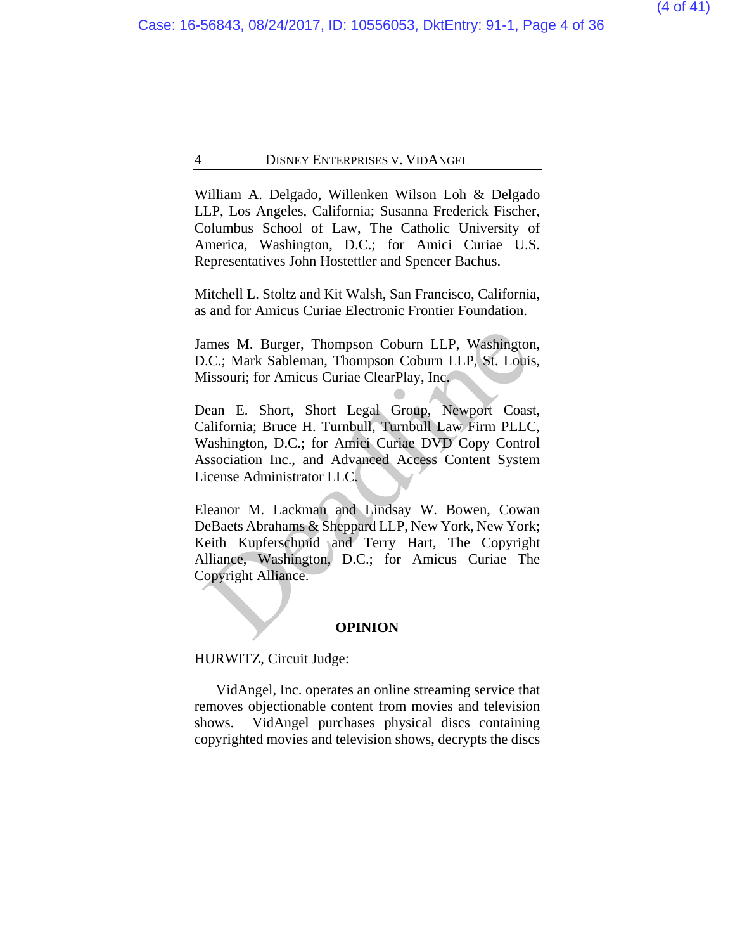William A. Delgado, Willenken Wilson Loh & Delgado LLP, Los Angeles, California; Susanna Frederick Fischer, Columbus School of Law, The Catholic University of America, Washington, D.C.; for Amici Curiae U.S. Representatives John Hostettler and Spencer Bachus.

Mitchell L. Stoltz and Kit Walsh, San Francisco, California, as and for Amicus Curiae Electronic Frontier Foundation.

James M. Burger, Thompson Coburn LLP, Washington, D.C.; Mark Sableman, Thompson Coburn LLP, St. Louis, Missouri; for Amicus Curiae ClearPlay, Inc.

Dean E. Short, Short Legal Group, Newport Coast, California; Bruce H. Turnbull, Turnbull Law Firm PLLC, Washington, D.C.; for Amici Curiae DVD Copy Control Association Inc., and Advanced Access Content System License Administrator LLC.

Eleanor M. Lackman and Lindsay W. Bowen, Cowan DeBaets Abrahams & Sheppard LLP, New York, New York; Keith Kupferschmid and Terry Hart, The Copyright Alliance, Washington, D.C.; for Amicus Curiae The Copyright Alliance. ames M. Burger, Thompson Coburn LLP, Washington<br>
D.C.; Mark Sableman, Thompson Coburn LLP, St. Louis<br>
dissouri; for Amicus Curiae ClearPlay, Inc.<br>
Dean E. Short, Short Legal Group, Newport Coas<br>
california; Bruce H. Turnbu

#### **OPINION**

HURWITZ, Circuit Judge:

VidAngel, Inc. operates an online streaming service that removes objectionable content from movies and television shows. VidAngel purchases physical discs containing copyrighted movies and television shows, decrypts the discs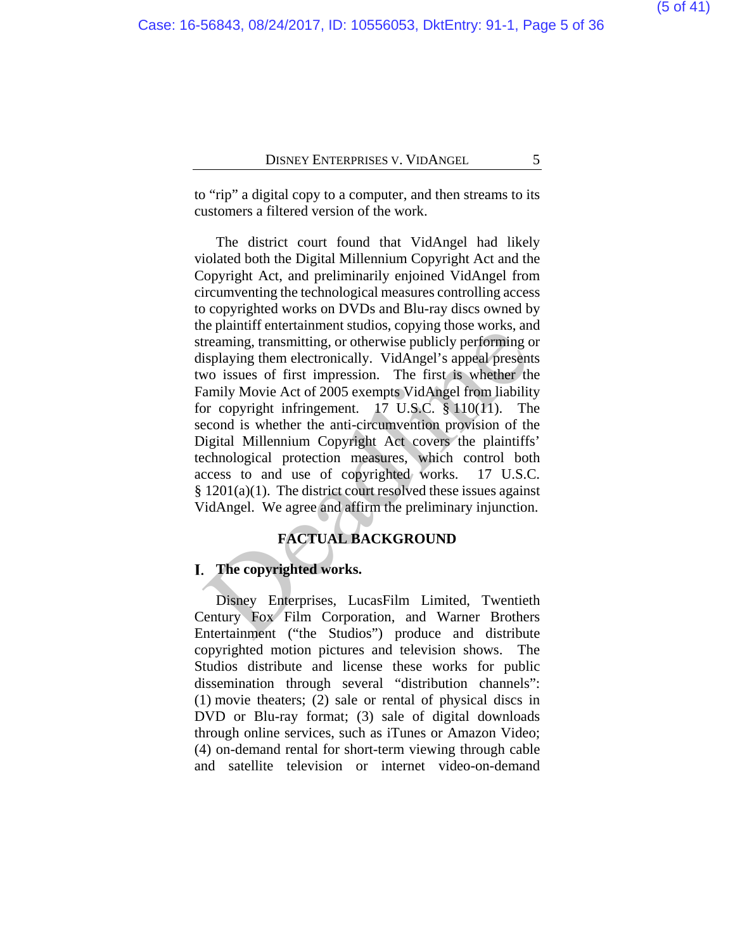to "rip" a digital copy to a computer, and then streams to its customers a filtered version of the work.

The district court found that VidAngel had likely violated both the Digital Millennium Copyright Act and the Copyright Act, and preliminarily enjoined VidAngel from circumventing the technological measures controlling access to copyrighted works on DVDs and Blu-ray discs owned by the plaintiff entertainment studios, copying those works, and streaming, transmitting, or otherwise publicly performing or displaying them electronically. VidAngel's appeal presents two issues of first impression. The first is whether the Family Movie Act of 2005 exempts VidAngel from liability for copyright infringement. 17 U.S.C. § 110(11). The second is whether the anti-circumvention provision of the Digital Millennium Copyright Act covers the plaintiffs' technological protection measures, which control both access to and use of copyrighted works. 17 U.S.C.  $§ 1201(a)(1)$ . The district court resolved these issues against VidAngel. We agree and affirm the preliminary injunction. reaming, transmitting, or otherwise publicly performing consistant<br>isplaying them electronically. VidAngel's performing cisplaying them electronically. VidAngel's appeal present<br>wo issues of first impression. The first is

#### **FACTUAL BACKGROUND**

#### **The copyrighted works.**

Disney Enterprises, LucasFilm Limited, Twentieth Century Fox Film Corporation, and Warner Brothers Entertainment ("the Studios") produce and distribute copyrighted motion pictures and television shows.The Studios distribute and license these works for public dissemination through several "distribution channels": (1) movie theaters; (2) sale or rental of physical discs in DVD or Blu-ray format; (3) sale of digital downloads through online services, such as iTunes or Amazon Video; (4) on-demand rental for short-term viewing through cable and satellite television or internet video-on-demand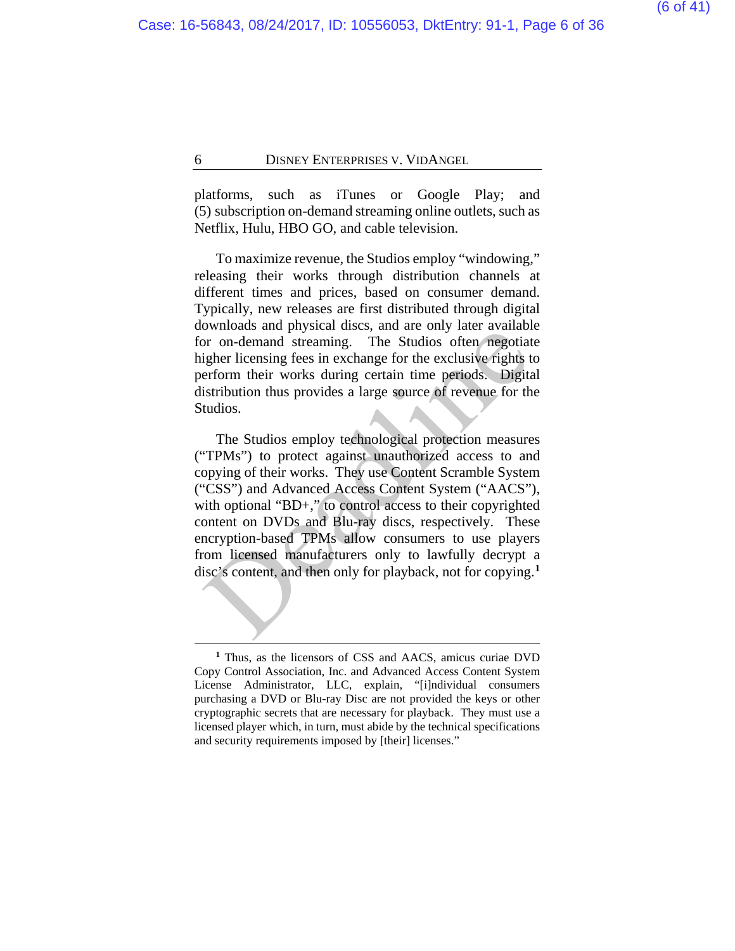platforms, such as iTunes or Google Play; and (5) subscription on-demand streaming online outlets, such as Netflix, Hulu, HBO GO, and cable television.

To maximize revenue, the Studios employ "windowing," releasing their works through distribution channels at different times and prices, based on consumer demand. Typically, new releases are first distributed through digital downloads and physical discs, and are only later available for on-demand streaming. The Studios often negotiate higher licensing fees in exchange for the exclusive rights to perform their works during certain time periods. Digital distribution thus provides a large source of revenue for the Studios.

The Studios employ technological protection measures ("TPMs") to protect against unauthorized access to and copying of their works. They use Content Scramble System ("CSS") and Advanced Access Content System ("AACS"), with optional "BD+," to control access to their copyrighted content on DVDs and Blu-ray discs, respectively. These encryption-based TPMs allow consumers to use players from licensed manufacturers only to lawfully decrypt a disc's content, and then only for playback, not for copying.**[1](#page-5-0)** ow model manifest dusts, and are only that avaliant of the Studios often negating<br>or on-demand streaming. The Studios often negotial<br>tigher licensing fees in exchange for the exclusive rights terform their works during cer

<span id="page-5-0"></span>**<sup>1</sup>** Thus, as the licensors of CSS and AACS, amicus curiae DVD Copy Control Association, Inc. and Advanced Access Content System License Administrator, LLC, explain, "[i]ndividual consumers purchasing a DVD or Blu-ray Disc are not provided the keys or other cryptographic secrets that are necessary for playback. They must use a licensed player which, in turn, must abide by the technical specifications and security requirements imposed by [their] licenses."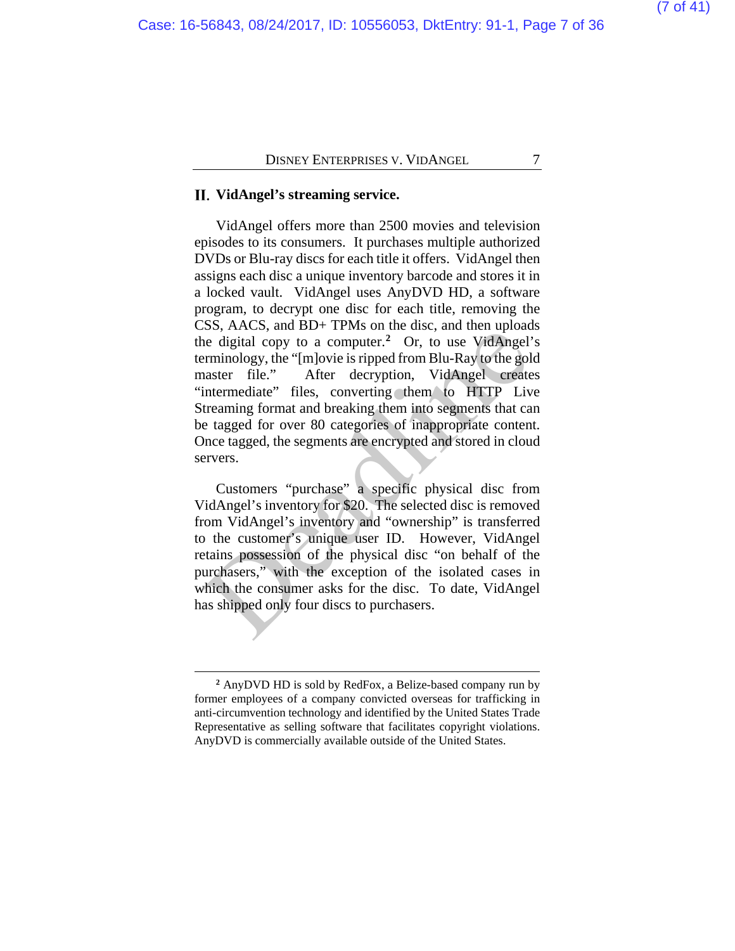### **VidAngel's streaming service.**

VidAngel offers more than 2500 movies and television episodes to its consumers. It purchases multiple authorized DVDs or Blu-ray discs for each title it offers. VidAngel then assigns each disc a unique inventory barcode and stores it in a locked vault. VidAngel uses AnyDVD HD, a software program, to decrypt one disc for each title, removing the CSS, AACS, and BD+ TPMs on the disc, and then uploads the digital copy to a computer.**2** Or, to use VidAngel's terminology, the "[m]ovie is ripped from Blu-Ray to the gold master file." After decryption, VidAngel creates "intermediate" files, converting them to HTTP Live Streaming format and breaking them into segments that can be tagged for over 80 categories of inappropriate content. Once tagged, the segments are encrypted and stored in cloud servers. Example digital copy to a computer.<sup>2</sup> Or, to use VidAngel<br>the digital copy to a computer.<sup>2</sup> Or, to use VidAngel<br>priminology, the "[m]ovie is ripped from Blu-Ray to the gol<br>naster file." After decryption, VidAngel create<br>

Customers "purchase" a specific physical disc from VidAngel's inventory for \$20. The selected disc is removed from VidAngel's inventory and "ownership" is transferred to the customer's unique user ID. However, VidAngel retains possession of the physical disc "on behalf of the purchasers," with the exception of the isolated cases in which the consumer asks for the disc.To date, VidAngel has shipped only four discs to purchasers.

<span id="page-6-0"></span>**<sup>2</sup>** AnyDVD HD is sold by RedFox, a Belize-based company run by former employees of a company convicted overseas for trafficking in anti-circumvention technology and identified by the United States Trade Representative as selling software that facilitates copyright violations. AnyDVD is commercially available outside of the United States.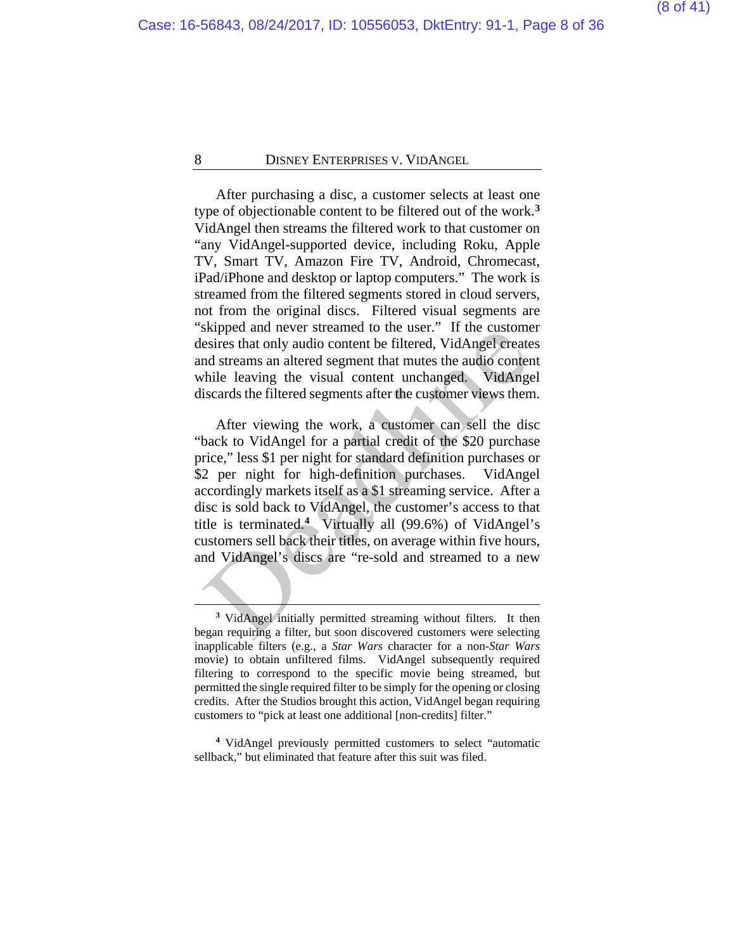After purchasing a disc, a customer selects at least one type of objectionable content to be filtered out of the work.**[3](#page-7-0)**  VidAngel then streams the filtered work to that customer on "any VidAngel-supported device, including Roku, Apple TV, Smart TV, Amazon Fire TV, Android, Chromecast, iPad/iPhone and desktop or laptop computers." The work is streamed from the filtered segments stored in cloud servers, not from the original discs. Filtered visual segments are "skipped and never streamed to the user." If the customer desires that only audio content be filtered, VidAngel creates and streams an altered segment that mutes the audio content while leaving the visual content unchanged. VidAngel discards the filtered segments after the customer views them.

After viewing the work, a customer can sell the disc "back to VidAngel for a partial credit of the \$20 purchase price," less \$1 per night for standard definition purchases or \$2 per night for high-definition purchases. VidAngel accordingly markets itself as a \$1 streaming service. After a disc is sold back to VidAngel, the customer's access to that title is terminated.**<sup>4</sup>** Virtually all (99.6%) of VidAngel's customers sell back their titles, on average within five hours, and VidAngel's discs are "re-sold and streamed to a new Exampl[e](#page-7-1)d and never streamed to the user. It the customersies that only audio content be filtered, VidAngel created streams an altered segment that mutes the audio conter hile leaving the visual content unchanged. VidAngel

**<sup>3</sup>** VidAngel initially permitted streaming without filters. It then began requiring a filter, but soon discovered customers were selecting inapplicable filters (e.g., a *Star Wars* character for a non-*Star Wars* movie) to obtain unfiltered films. VidAngel subsequently required filtering to correspond to the specific movie being streamed, but permitted the single required filter to be simply for the opening or closing credits. After the Studios brought this action, VidAngel began requiring customers to "pick at least one additional [non-credits] filter."

<span id="page-7-1"></span><span id="page-7-0"></span>**<sup>4</sup>** VidAngel previously permitted customers to select "automatic sellback," but eliminated that feature after this suit was filed.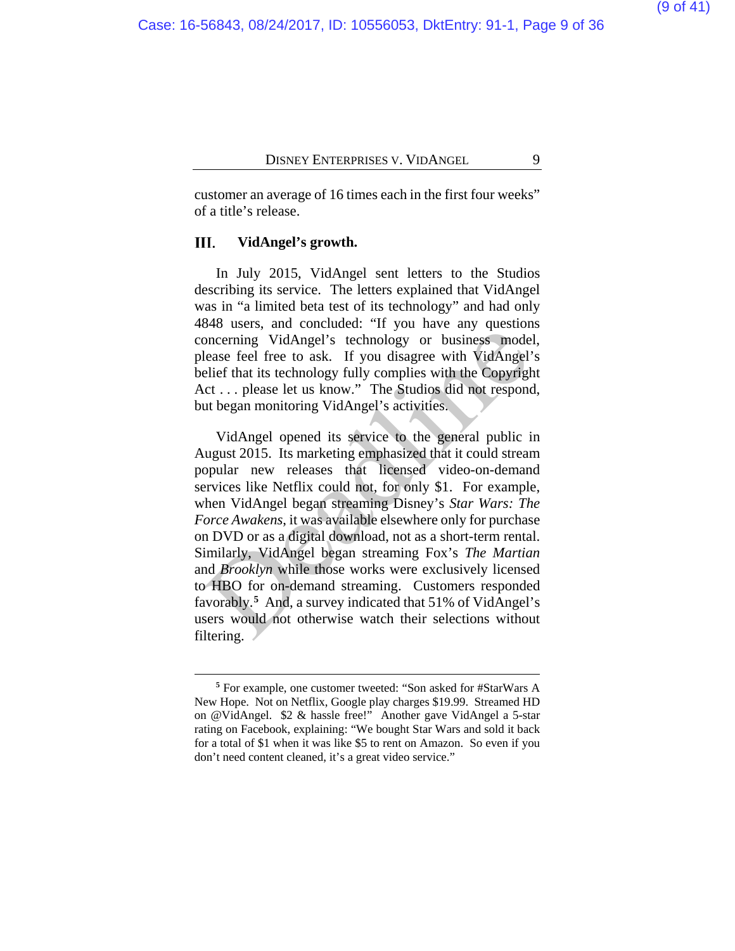customer an average of 16 times each in the first four weeks" of a title's release.

#### Ш. **VidAngel's growth.**

 $\overline{a}$ 

In July 2015, VidAngel sent letters to the Studios describing its service. The letters explained that VidAngel was in "a limited beta test of its technology" and had only 4848 users, and concluded: "If you have any questions concerning VidAngel's technology or business model, please feel free to ask. If you disagree with VidAngel's belief that its technology fully complies with the Copyright Act . . . please let us know." The Studios did not respond, but began monitoring VidAngel's activities.

VidAngel opened its service to the general public in August 2015. Its marketing emphasized that it could stream popular new releases that licensed video-on-demand services like Netflix could not, for only \$1. For example, when VidAngel began streaming Disney's *Star Wars: The Force Awakens*, it was available elsewhere only for purchase on DVD or as a digital download, not as a short-term rental. Similarly, VidAngel began streaming Fox's *The Martian* and *Brooklyn* while those works were exclusively licensed to HBO for on-demand streaming. Customers responded favorably.**5** And, a survey indicated that 51% of VidAngel's users would not otherwise watch their selections without filtering. oncerning VidAngel's technology or business mode<br>lease feel free to ask. If you disagree with VidAngel'<br>elief that its technology fully complies with the Copyrigl<br>elief that its technology fully complies with the Copyrigl<br>

<span id="page-8-0"></span>**<sup>5</sup>** For example, one customer tweeted: "Son asked for #StarWars A New Hope. Not on Netflix, Google play charges \$19.99. Streamed HD on @VidAngel. \$2 & hassle free!" Another gave VidAngel a 5-star rating on Facebook, explaining: "We bought Star Wars and sold it back for a total of \$1 when it was like \$5 to rent on Amazon. So even if you don't need content cleaned, it's a great video service."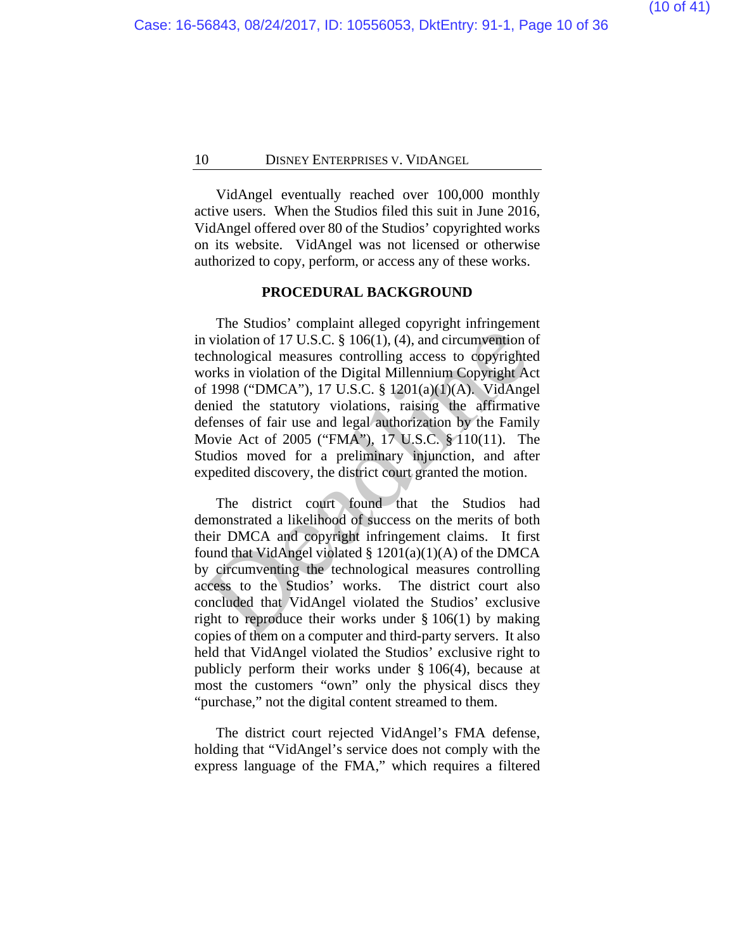VidAngel eventually reached over 100,000 monthly active users. When the Studios filed this suit in June 2016, VidAngel offered over 80 of the Studios' copyrighted works on its website. VidAngel was not licensed or otherwise authorized to copy, perform, or access any of these works.

#### **PROCEDURAL BACKGROUND**

The Studios' complaint alleged copyright infringement in violation of 17 U.S.C. § 106(1), (4), and circumvention of technological measures controlling access to copyrighted works in violation of the Digital Millennium Copyright Act of 1998 ("DMCA"), 17 U.S.C. § 1201(a)(1)(A). VidAngel denied the statutory violations, raising the affirmative defenses of fair use and legal authorization by the Family Movie Act of 2005 ("FMA"), 17 U.S.C. § 110(11). The Studios moved for a preliminary injunction, and after expedited discovery, the district court granted the motion. **Example 10**<br>violation of 17 U.S.C. § 106(1), (4), and circumvention c<br>echnological measures controlling access to copyright<br>evorks in violation of the Digital Millennium Copyright Ac<br>f 1998 ("DMCA"), 17 U.S.C. § 1201(a)(

The district court found that the Studios had demonstrated a likelihood of success on the merits of both their DMCA and copyright infringement claims. It first found that VidAngel violated  $\S$  1201(a)(1)(A) of the DMCA by circumventing the technological measures controlling access to the Studios' works. The district court also concluded that VidAngel violated the Studios' exclusive right to reproduce their works under § 106(1) by making copies of them on a computer and third-party servers. It also held that VidAngel violated the Studios' exclusive right to publicly perform their works under § 106(4), because at most the customers "own" only the physical discs they "purchase," not the digital content streamed to them.

The district court rejected VidAngel's FMA defense, holding that "VidAngel's service does not comply with the express language of the FMA," which requires a filtered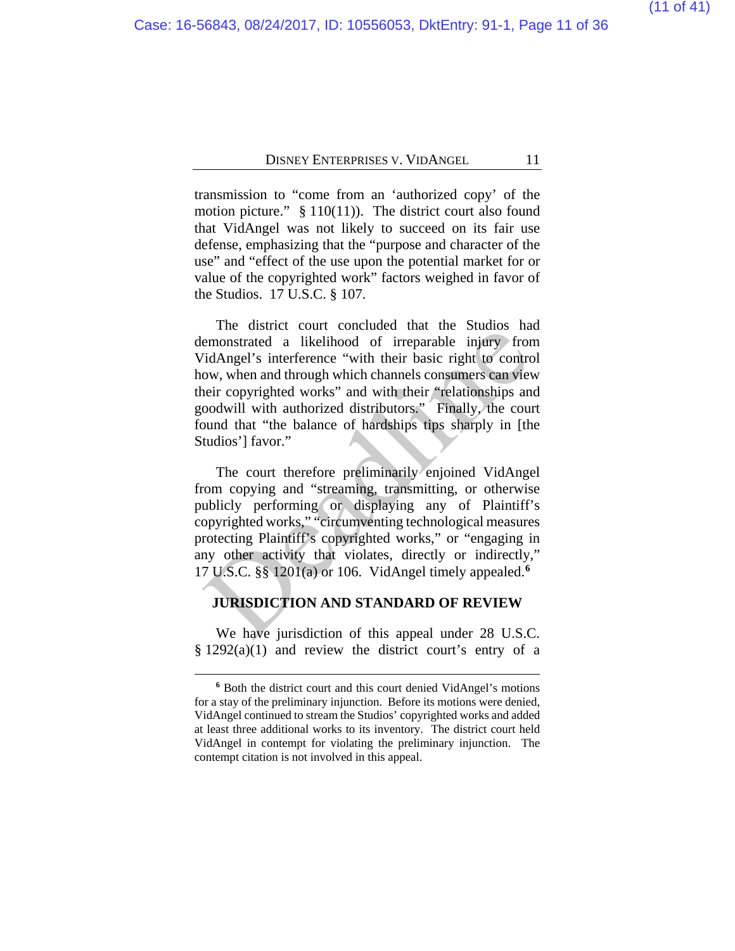transmission to "come from an 'authorized copy' of the motion picture."  $§ 110(11)$ . The district court also found that VidAngel was not likely to succeed on its fair use defense, emphasizing that the "purpose and character of the use" and "effect of the use upon the potential market for or value of the copyrighted work" factors weighed in favor of the Studios. 17 U.S.C. § 107.

The district court concluded that the Studios had demonstrated a likelihood of irreparable injury from VidAngel's interference "with their basic right to control how, when and through which channels consumers can view their copyrighted works" and with their "relationships and goodwill with authorized distributors." Finally, the court found that "the balance of hardships tips sharply in [the Studios'] favor." incerting the distance that increase that the States<br>emonstrated a likelihood of irreparable injury from<br>idAngel's interference "with their basic right to control<br>ow, when and through which channels consumers can vieve<br>hei

The court therefore preliminarily enjoined VidAngel from copying and "streaming, transmitting, or otherwise publicly performing or displaying any of Plaintiff's copyrighted works," "circumventing technological measures protecting Plaintiff's copyrighted works," or "engaging in any other activity that violates, directly or indirectly," 17 U.S.C. §§ 1201(a) or 106. VidAngel timely appealed.**<sup>6</sup>**

#### **JURISDICTION AND STANDARD OF REVIEW**

We have jurisdiction of this appeal under 28 U.S.C. § 1292(a)(1) and review the district court's entry of a

<span id="page-10-0"></span>**<sup>6</sup>** Both the district court and this court denied VidAngel's motions for a stay of the preliminary injunction. Before its motions were denied, VidAngel continued to stream the Studios' copyrighted works and added at least three additional works to its inventory. The district court held VidAngel in contempt for violating the preliminary injunction. The contempt citation is not involved in this appeal.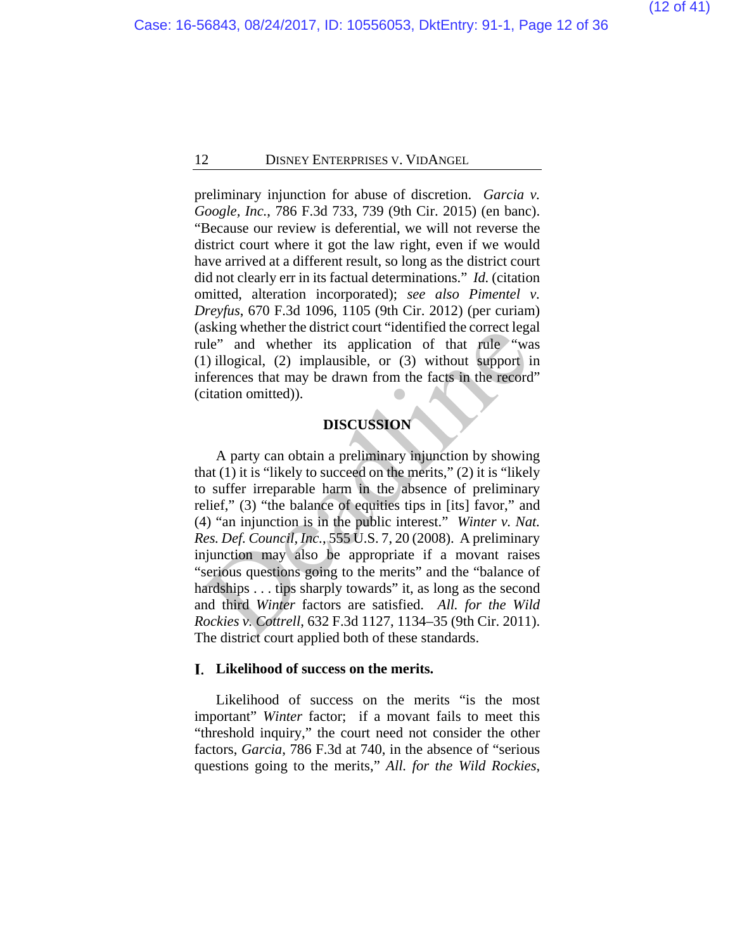preliminary injunction for abuse of discretion. *Garcia v. Google, Inc.*, 786 F.3d 733, 739 (9th Cir. 2015) (en banc). "Because our review is deferential, we will not reverse the district court where it got the law right, even if we would have arrived at a different result, so long as the district court did not clearly err in its factual determinations." *Id.* (citation omitted, alteration incorporated); *see also Pimentel v. Dreyfus*, 670 F.3d 1096, 1105 (9th Cir. 2012) (per curiam) (asking whether the district court "identified the correct legal rule" and whether its application of that rule "was (1) illogical, (2) implausible, or (3) without support in inferences that may be drawn from the facts in the record" (citation omitted)).

### **DISCUSSION**

A party can obtain a preliminary injunction by showing that  $(1)$  it is "likely to succeed on the merits,"  $(2)$  it is "likely" to suffer irreparable harm in the absence of preliminary relief," (3) "the balance of equities tips in [its] favor," and (4) "an injunction is in the public interest." *Winter v. Nat. Res. Def. Council, Inc.*, 555 U.S. 7, 20 (2008). A preliminary injunction may also be appropriate if a movant raises "serious questions going to the merits" and the "balance of hardships . . . tips sharply towards" it, as long as the second and third *Winter* factors are satisfied. *All. for the Wild Rockies v. Cottrell*, 632 F.3d 1127, 1134–35 (9th Cir. 2011). The district court applied both of these standards. SKING WHERE the district COULT identified the COTEC LEGATED (1)<br>
11 (a) illogical, (2) implausible, or (3) without support if<br>
fremces that may be drawn from the facts in the record<br>
fremces that may be drawn from the fac

#### **Likelihood of success on the merits.**

Likelihood of success on the merits "is the most important" *Winter* factor; if a movant fails to meet this "threshold inquiry," the court need not consider the other factors, *Garcia*, 786 F.3d at 740, in the absence of "serious questions going to the merits," *All. for the Wild Rockies*,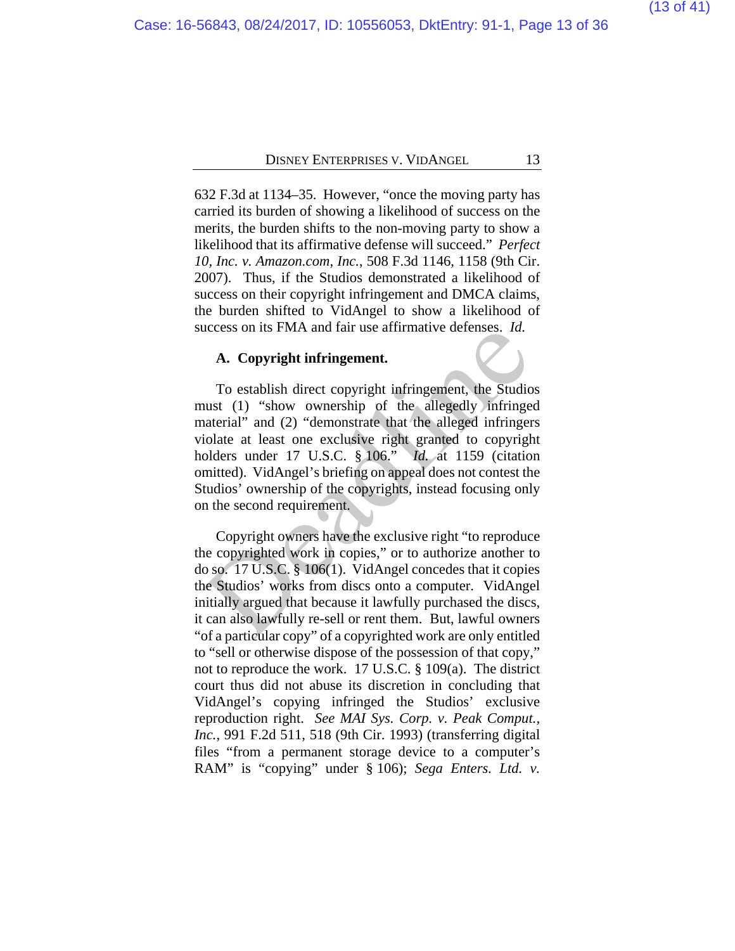632 F.3d at 1134–35. However, "once the moving party has carried its burden of showing a likelihood of success on the merits, the burden shifts to the non-moving party to show a likelihood that its affirmative defense will succeed." *Perfect 10, Inc. v. Amazon.com, Inc.*, 508 F.3d 1146, 1158 (9th Cir. 2007). Thus, if the Studios demonstrated a likelihood of success on their copyright infringement and DMCA claims, the burden shifted to VidAngel to show a likelihood of success on its FMA and fair use affirmative defenses. *Id.*

#### **A. Copyright infringement.**

To establish direct copyright infringement, the Studios must (1) "show ownership of the allegedly infringed material" and (2) "demonstrate that the alleged infringers violate at least one exclusive right granted to copyright holders under 17 U.S.C. § 106." *Id.* at 1159 (citation omitted). VidAngel's briefing on appeal does not contest the Studios' ownership of the copyrights, instead focusing only on the second requirement. **A. Copyright infringement.**<br>
To establish direct copyright infringement, the Studio<br>
ust (1) "show ownership of the allegedly infringe<br>
interial" and (2) "demonstrate that the alleged infringer<br>
indicate at least one exc

Copyright owners have the exclusive right "to reproduce the copyrighted work in copies," or to authorize another to do so. 17 U.S.C. § 106(1). VidAngel concedes that it copies the Studios' works from discs onto a computer. VidAngel initially argued that because it lawfully purchased the discs, it can also lawfully re-sell or rent them. But, lawful owners "of a particular copy" of a copyrighted work are only entitled to "sell or otherwise dispose of the possession of that copy," not to reproduce the work. 17 U.S.C. § 109(a). The district court thus did not abuse its discretion in concluding that VidAngel's copying infringed the Studios' exclusive reproduction right. *See MAI Sys. Corp. v. Peak Comput., Inc.*, 991 F.2d 511, 518 (9th Cir. 1993) (transferring digital files "from a permanent storage device to a computer's RAM" is "copying" under § 106); *Sega Enters. Ltd. v.*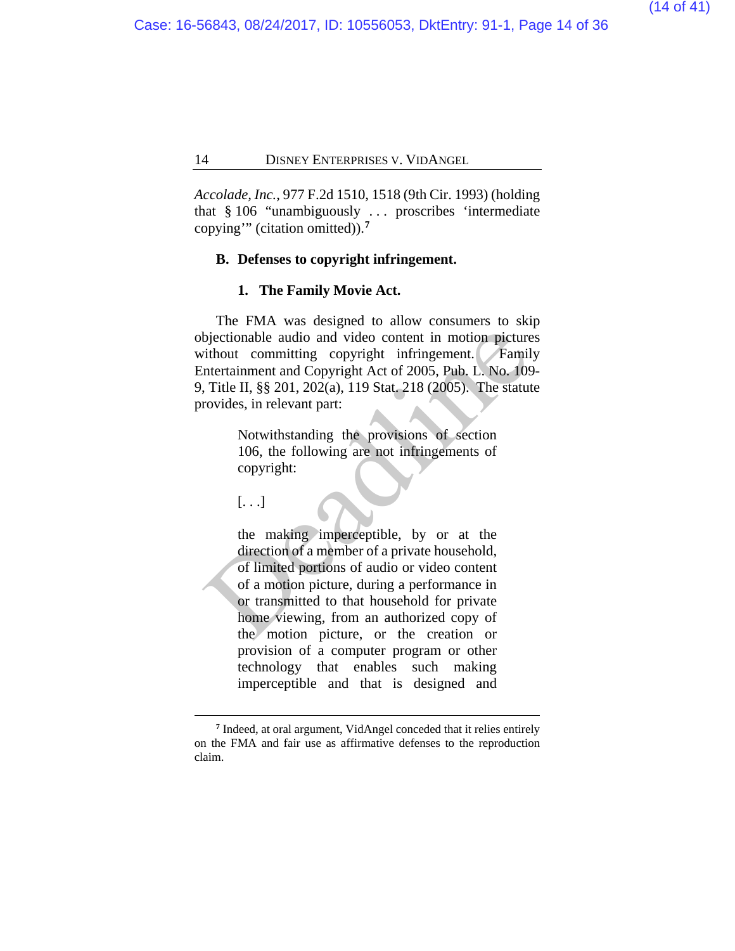*Accolade, Inc.*, 977 F.2d 1510, 1518 (9th Cir. 1993) (holding that § 106 "unambiguously . . . proscribes 'intermediate copying'" (citation omitted)).**[7](#page-13-0)**

#### **B. Defenses to copyright infringement.**

#### **1. The Family Movie Act.**

The FMA was designed to allow consumers to skip objectionable audio and video content in motion pictures without committing copyright infringement. Family Entertainment and Copyright Act of 2005, Pub. L. No. 109- 9, Title II, §§ 201, 202(a), 119 Stat. 218 (2005). The statute provides, in relevant part:

> Notwithstanding the provisions of section 106, the following are not infringements of copyright:

[. . .]

 $\overline{a}$ 

the making imperceptible, by or at the direction of a member of a private household, of limited portions of audio or video content of a motion picture, during a performance in or transmitted to that household for private home viewing, from an authorized copy of the motion picture, or the creation or provision of a computer program or other technology that enables such making imperceptible and that is designed and bjectionable audio and video content in motion picture<br>
vithout committing copyright infringement. Famil<br>
Intertainment and Copyright Act of 2005, Pub. L. No. 105<br>
Title II, §§ 201, 202(a), 119 Stat. 218 (2005). The statut

<span id="page-13-0"></span>**<sup>7</sup>** Indeed, at oral argument, VidAngel conceded that it relies entirely on the FMA and fair use as affirmative defenses to the reproduction claim.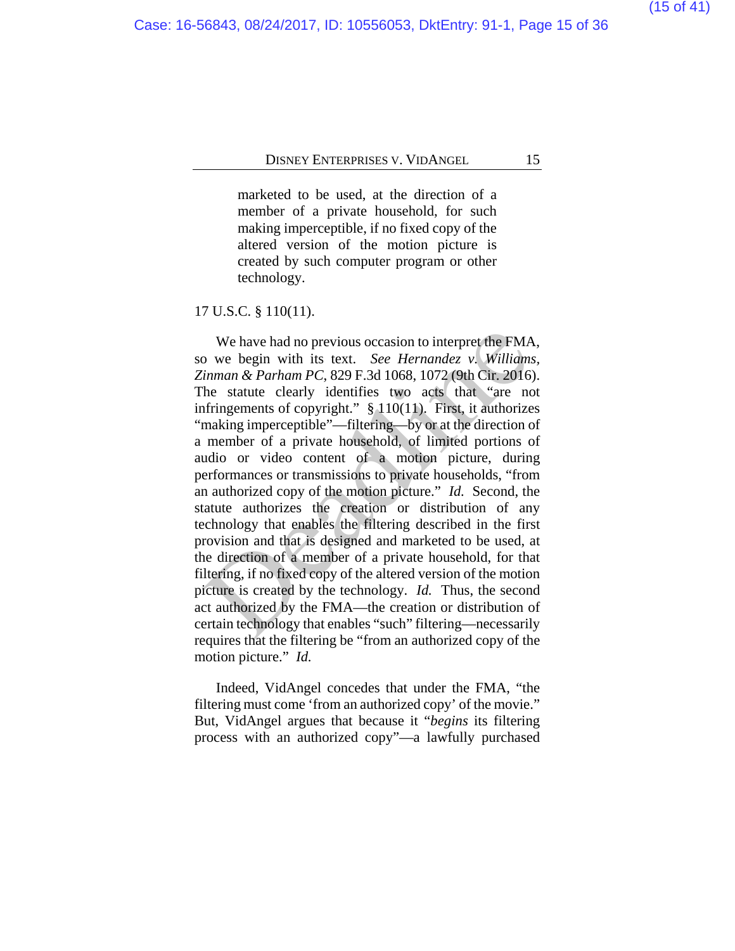marketed to be used, at the direction of a member of a private household, for such making imperceptible, if no fixed copy of the altered version of the motion picture is created by such computer program or other technology.

#### 17 U.S.C. § 110(11).

We have had no previous occasion to interpret the FMA, so we begin with its text. *See Hernandez v. Williams, Zinman & Parham PC*, 829 F.3d 1068, 1072 (9th Cir. 2016). The statute clearly identifies two acts that "are not infringements of copyright." § 110(11).First, it authorizes "making imperceptible"—filtering—by or at the direction of a member of a private household, of limited portions of audio or video content of a motion picture, during performances or transmissions to private households, "from an authorized copy of the motion picture." *Id.* Second, the statute authorizes the creation or distribution of any technology that enables the filtering described in the first provision and that is designed and marketed to be used, at the direction of a member of a private household, for that filtering, if no fixed copy of the altered version of the motion picture is created by the technology. *Id.* Thus, the second act authorized by the FMA—the creation or distribution of certain technology that enables "such" filtering—necessarily requires that the filtering be "from an authorized copy of the motion picture." *Id.* We have had no previous occasion to interpret the FMA<br>o we begin with its text. See Hernandez v. William:<br>inman & Parham PC, 829 F.3d 1068, 1072 (9th Cir. 2016<br>he statute clearly identifies two acts that "are no<br>firingeme

Indeed, VidAngel concedes that under the FMA, "the filtering must come 'from an authorized copy' of the movie." But, VidAngel argues that because it "*begins* its filtering process with an authorized copy"—a lawfully purchased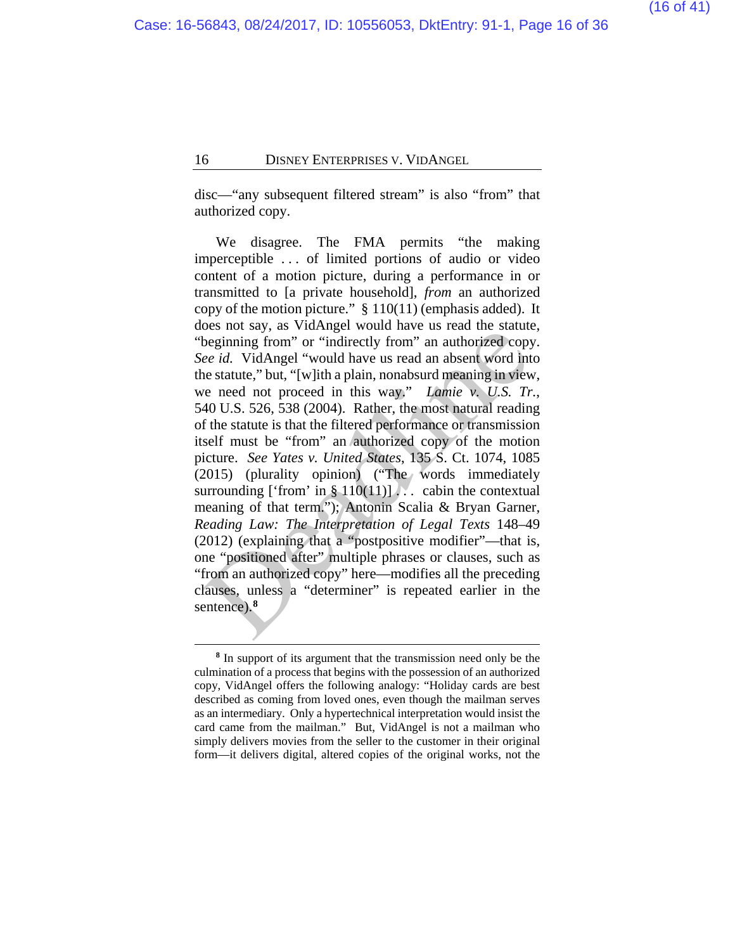disc—"any subsequent filtered stream" is also "from" that authorized copy.

We disagree. The FMA permits "the making imperceptible . . . of limited portions of audio or video content of a motion picture, during a performance in or transmitted to [a private household], *from* an authorized copy of the motion picture." § 110(11) (emphasis added). It does not say, as VidAngel would have us read the statute, "beginning from" or "indirectly from" an authorized copy. *See id.* VidAngel "would have us read an absent word into the statute," but, "[w]ith a plain, nonabsurd meaning in view, we need not proceed in this way." *Lamie v. U.S. Tr.*, 540 U.S. 526, 538 (2004). Rather, the most natural reading of the statute is that the filtered performance or transmission itself must be "from" an authorized copy of the motion picture. *See Yates v. United States*, 135 S. Ct. 1074, 1085 (2015) (plurality opinion) ("The words immediately surrounding ['from' in  $\S 110(11)$ ]... cabin the contextual meaning of that term."); Antonin Scalia & Bryan Garner, *Reading Law: The Interpretation of Legal Texts* 148–49 (2012) (explaining that a "postpositive modifier"—that is, one "positioned after" multiple phrases or clauses, such as "from an authorized copy" here—modifies all the preceding clauses, unless a "determiner" is repeated earlier in the sentence).**<sup>8</sup>** beginning from "or "indirectly from" an authorized copy<br>ee id. VidAngel "would have us read an absent word interest copy<br>ee id. VidAngel "would have us read an absent word interest copy<br>ee id. VidAngel "would have us read

<span id="page-15-0"></span> $\overline{a}$ **<sup>8</sup>** In support of its argument that the transmission need only be the culmination of a process that begins with the possession of an authorized copy, VidAngel offers the following analogy: "Holiday cards are best described as coming from loved ones, even though the mailman serves as an intermediary. Only a hypertechnical interpretation would insist the card came from the mailman." But, VidAngel is not a mailman who simply delivers movies from the seller to the customer in their original form—it delivers digital, altered copies of the original works, not the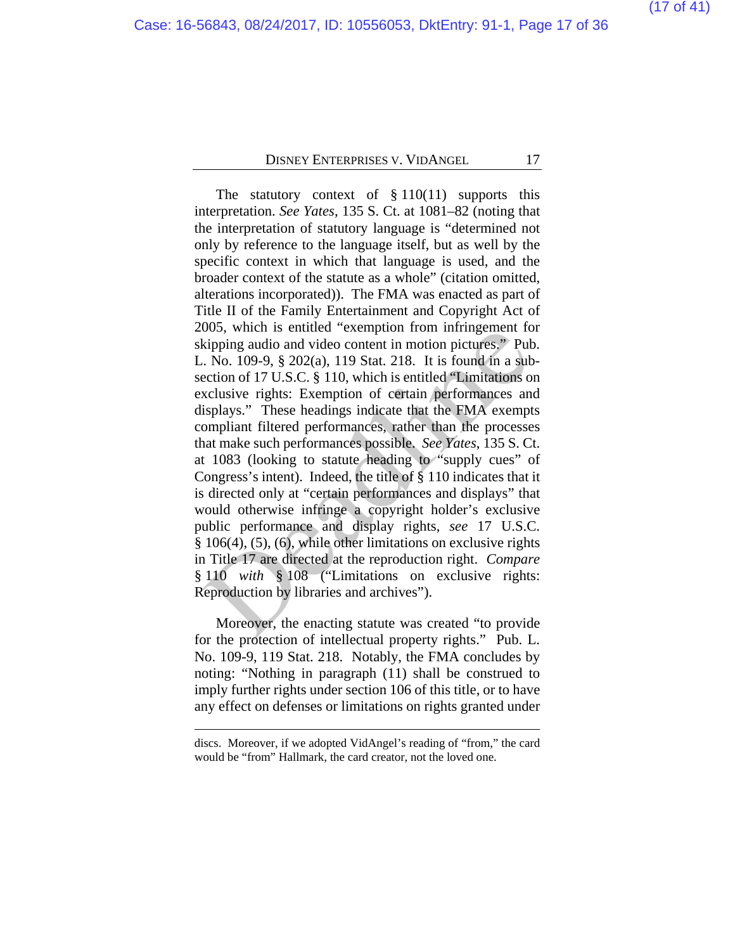The statutory context of  $§ 110(11)$  supports this interpretation. *See Yates*, 135 S. Ct. at 1081–82 (noting that the interpretation of statutory language is "determined not only by reference to the language itself, but as well by the specific context in which that language is used, and the broader context of the statute as a whole" (citation omitted, alterations incorporated)). The FMA was enacted as part of Title II of the Family Entertainment and Copyright Act of 2005, which is entitled "exemption from infringement for skipping audio and video content in motion pictures." Pub. L. No. 109-9, § 202(a), 119 Stat. 218. It is found in a subsection of 17 U.S.C. § 110, which is entitled "Limitations on exclusive rights: Exemption of certain performances and displays." These headings indicate that the FMA exempts compliant filtered performances, rather than the processes that make such performances possible. *See Yates*, 135 S. Ct. at 1083 (looking to statute heading to "supply cues" of Congress's intent). Indeed, the title of § 110 indicates that it is directed only at "certain performances and displays" that would otherwise infringe a copyright holder's exclusive public performance and display rights, *see* 17 U.S.C. § 106(4), (5), (6), while other limitations on exclusive rights in Title 17 are directed at the reproduction right. *Compare*  § 110 *with* § 108 ("Limitations on exclusive rights: Reproduction by libraries and archives"). boos, which is entitled exemption from infingement receiving and<br>io and video content in motion pictures." Put<br>cive to 100-9, § 202(a), 119 Stat. 218. It is found in a sub-<br>ection of 17 U.S.C. § 110, which is entitled "Li

Moreover, the enacting statute was created "to provide for the protection of intellectual property rights." Pub. L. No. 109-9, 119 Stat. 218. Notably, the FMA concludes by noting: "Nothing in paragraph (11) shall be construed to imply further rights under section 106 of this title, or to have any effect on defenses or limitations on rights granted under

discs. Moreover, if we adopted VidAngel's reading of "from," the card would be "from" Hallmark, the card creator, not the loved one.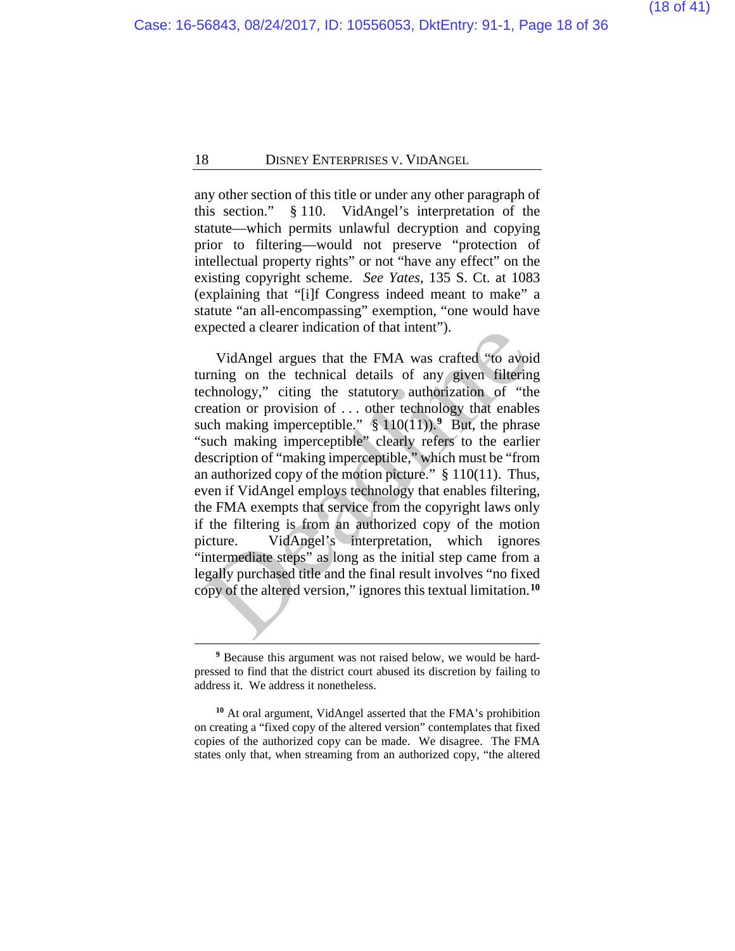any other section of this title or under any other paragraph of this section." § 110. VidAngel's interpretation of the statute—which permits unlawful decryption and copying prior to filtering—would not preserve "protection of intellectual property rights" or not "have any effect" on the existing copyright scheme. *See Yates*, 135 S. Ct. at 1083 (explaining that "[i]f Congress indeed meant to make" a statute "an all-encompassing" exemption, "one would have expected a clearer indication of that intent").

VidAngel argues that the FMA was crafted "to avoid turning on the technical details of any given filtering technology," citing the statutory authorization of "the creation or provision of . . . other technology that enables such making imperceptible."  $\S 110(11)$ . Put, the phrase "such making imperceptible" clearly refers to the earlier description of "making imperceptible," which must be "from an authorized copy of the motion picture." § 110(11). Thus, even if VidAngel employs technology that enables filtering, the FMA exempts that service from the copyright laws only if the filtering is from an authorized copy of the motion picture. VidAngel's interpretation, which ignores "intermediate steps" as long as the initial step came from a legally purchased title and the final result involves "no fixed copy of the altered version," ignores this textual limitation.**[10](#page-17-1)** VidAngel argues that the FMA was crafted "to avoir<br>
vidAngel argues that the FMA was crafted "to avoir<br>
urning on the technical details of any given filterin<br>
cchnology," citing the statutory authorization of "the<br>
reation

**<sup>9</sup>** Because this argument was not raised below, we would be hardpressed to find that the district court abused its discretion by failing to address it. We address it nonetheless.

<span id="page-17-1"></span><span id="page-17-0"></span>**<sup>10</sup>** At oral argument, VidAngel asserted that the FMA's prohibition on creating a "fixed copy of the altered version" contemplates that fixed copies of the authorized copy can be made. We disagree. The FMA states only that, when streaming from an authorized copy, "the altered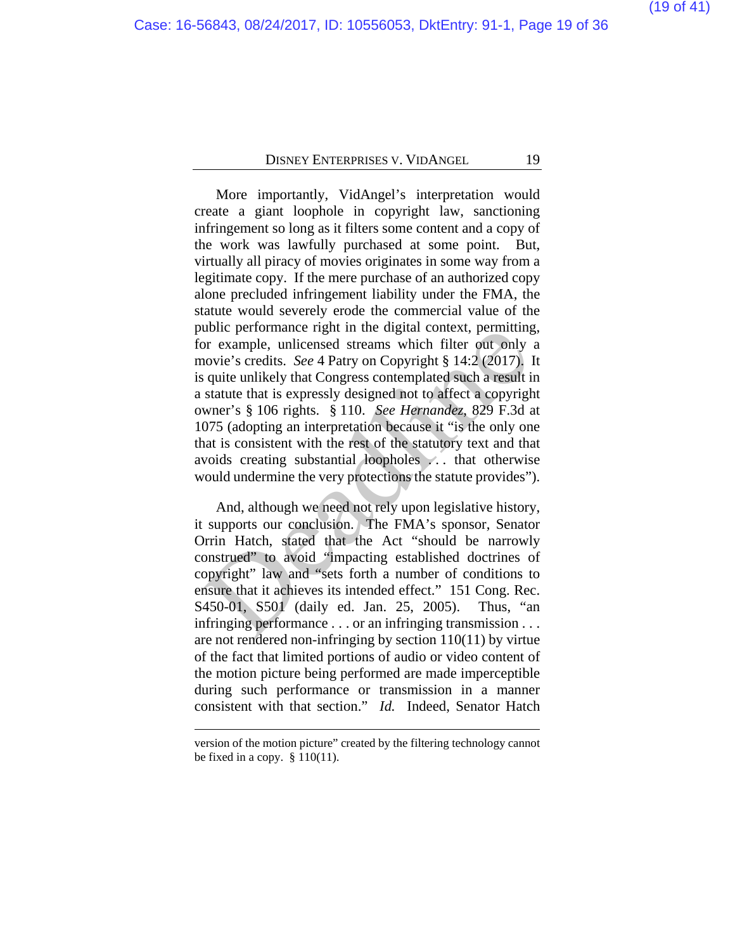More importantly, VidAngel's interpretation would create a giant loophole in copyright law, sanctioning infringement so long as it filters some content and a copy of the work was lawfully purchased at some point. But, virtually all piracy of movies originates in some way from a legitimate copy. If the mere purchase of an authorized copy alone precluded infringement liability under the FMA, the statute would severely erode the commercial value of the public performance right in the digital context, permitting, for example, unlicensed streams which filter out only a movie's credits. *See* 4 Patry on Copyright § 14:2 (2017). It is quite unlikely that Congress contemplated such a result in a statute that is expressly designed not to affect a copyright owner's § 106 rights. § 110. *See Hernandez*, 829 F.3d at 1075 (adopting an interpretation because it "is the only one that is consistent with the rest of the statutory text and that avoids creating substantial loopholes . . . that otherwise would undermine the very protections the statute provides"). bond performance right in the digital context, permitting<br>or example, unlicensed streams which filter out only<br>ovie's credits. See 4 Patry on Copyright § 14:2 (2017).<br>quite unlikely that Congress contemplated such a resul

And, although we need not rely upon legislative history, it supports our conclusion. The FMA's sponsor, Senator Orrin Hatch, stated that the Act "should be narrowly construed" to avoid "impacting established doctrines of copyright" law and "sets forth a number of conditions to ensure that it achieves its intended effect." 151 Cong. Rec. S450-01, S501 (daily ed. Jan. 25, 2005). Thus, "an infringing performance . . . or an infringing transmission . . . are not rendered non-infringing by section 110(11) by virtue of the fact that limited portions of audio or video content of the motion picture being performed are made imperceptible during such performance or transmission in a manner consistent with that section." *Id.* Indeed, Senator Hatch

version of the motion picture" created by the filtering technology cannot be fixed in a copy.  $§ 110(11)$ .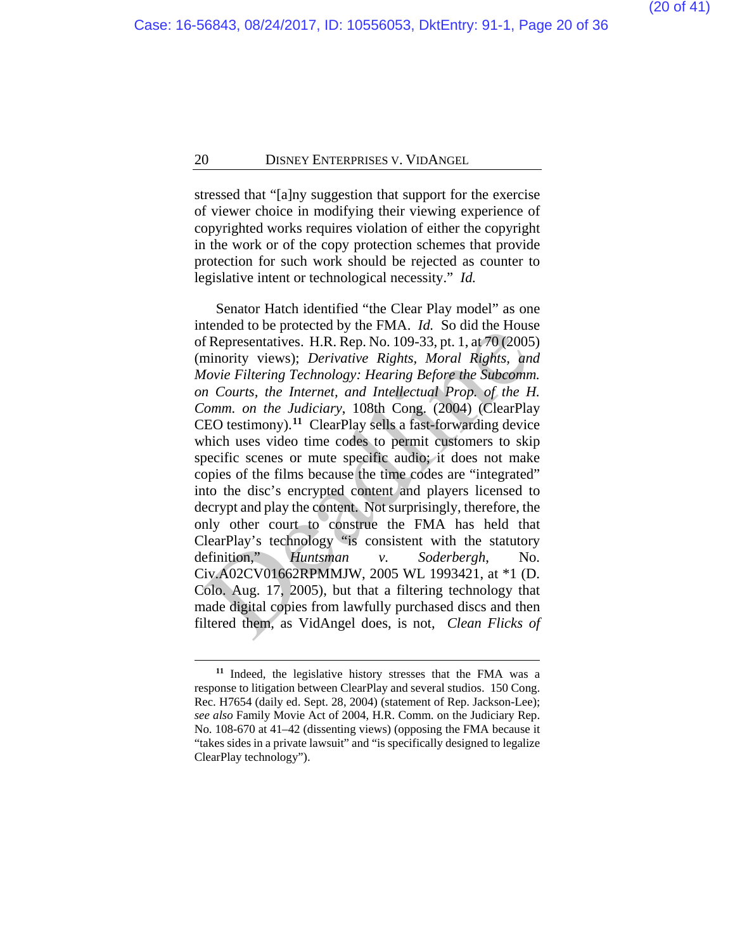stressed that "[a]ny suggestion that support for the exercise of viewer choice in modifying their viewing experience of copyrighted works requires violation of either the copyright in the work or of the copy protection schemes that provide protection for such work should be rejected as counter to legislative intent or technological necessity." *Id.*

Senator Hatch identified "the Clear Play model" as one intended to be protected by the FMA. *Id.* So did the House of Representatives. H.R. Rep. No. 109-33, pt. 1, at 70 (2005) (minority views); *Derivative Rights, Moral Rights, and Movie Filtering Technology: Hearing Before the Subcomm. on Courts, the Internet, and Intellectual Prop. of the H. Comm. on the Judiciary*, 108th Cong. (2004) (ClearPlay CEO testimony).**<sup>11</sup>** ClearPlay sells a fast-forwarding device which uses video time codes to permit customers to skip specific scenes or mute specific audio; it does not make copies of the films because the time codes are "integrated" into the disc's encrypted content and players licensed to decrypt and play the content. Not surprisingly, therefore, the only other court to construe the FMA has held that ClearPlay's technology "is consistent with the statutory definition," *Huntsman v. Soderbergh*, No. Civ.A02CV01662RPMMJW, 2005 WL 1993421, at \*1 (D. Colo. Aug. 17, 2005), but that a filtering technology that made digital copies from lawfully purchased discs and then filtered them, as VidAngel does, is not, *Clean Flicks of*  Example 10 and the 1 and the reduces<br>
FRepresentatives. H.R. Rep. No. 109-33, pt. 1, at 70 (2005)<br>
fRepresentatives. H.R. Rep. No. 109-33, pt. 1, at 70 (2005)<br>
minority views); *Derivative Rights, Moral Rights, an*<br> *lovi* 

<span id="page-19-0"></span>**<sup>11</sup>** Indeed, the legislative history stresses that the FMA was a response to litigation between ClearPlay and several studios. 150 Cong. Rec. H7654 (daily ed. Sept. 28, 2004) (statement of Rep. Jackson-Lee); *see also* Family Movie Act of 2004, H.R. Comm. on the Judiciary Rep. No. 108-670 at 41–42 (dissenting views) (opposing the FMA because it "takes sides in a private lawsuit" and "is specifically designed to legalize ClearPlay technology").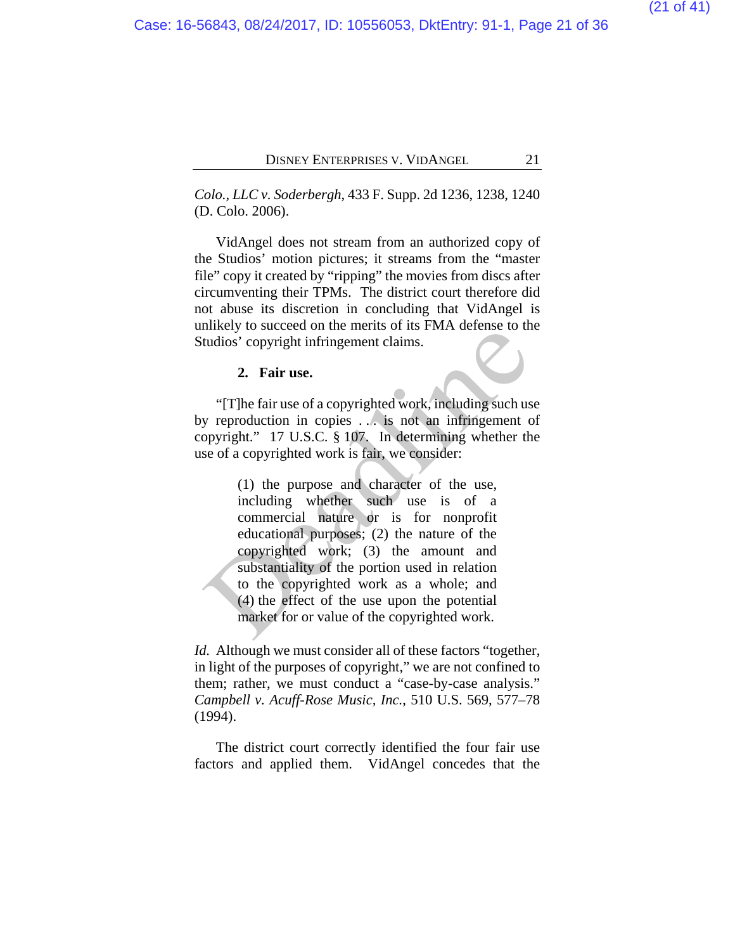*Colo., LLC v. Soderbergh*, 433 F. Supp. 2d 1236, 1238, 1240 (D. Colo. 2006).

VidAngel does not stream from an authorized copy of the Studios' motion pictures; it streams from the "master file" copy it created by "ripping" the movies from discs after circumventing their TPMs. The district court therefore did not abuse its discretion in concluding that VidAngel is unlikely to succeed on the merits of its FMA defense to the Studios' copyright infringement claims.

#### **2. Fair use.**

"[T]he fair use of a copyrighted work, including such use by reproduction in copies . . . is not an infringement of copyright." 17 U.S.C. § 107. In determining whether the use of a copyrighted work is fair, we consider:

(1) the purpose and character of the use, including whether such use is of a commercial nature or is for nonprofit educational purposes; (2) the nature of the copyrighted work; (3) the amount and substantiality of the portion used in relation to the copyrighted work as a whole; and (4) the effect of the use upon the potential market for or value of the copyrighted work. 2. Fair use of a copyrighted work, including such use that is a set of a copyrighted work, including such use of a copyrighted work is not an infringement copyright." 17 U.S.C. § 107. In determining whether the set of a co

*Id.* Although we must consider all of these factors "together, in light of the purposes of copyright," we are not confined to them; rather, we must conduct a "case-by-case analysis." *Campbell v. Acuff-Rose Music, Inc.*, 510 U.S. 569, 577–78 (1994).

The district court correctly identified the four fair use factors and applied them. VidAngel concedes that the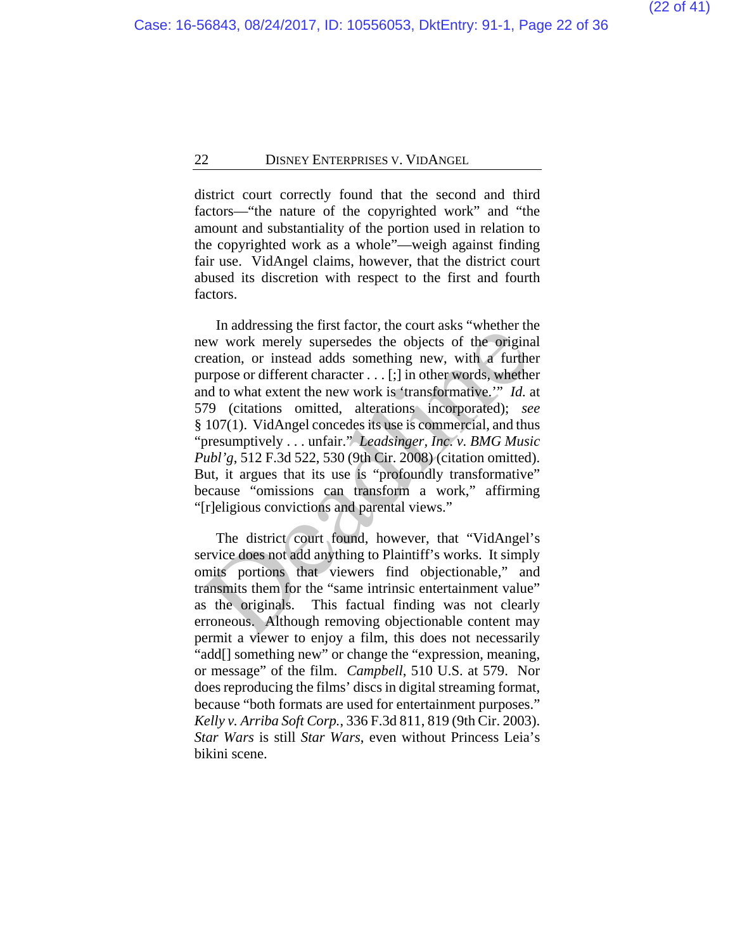district court correctly found that the second and third factors—"the nature of the copyrighted work" and "the amount and substantiality of the portion used in relation to the copyrighted work as a whole"—weigh against finding fair use. VidAngel claims, however, that the district court abused its discretion with respect to the first and fourth factors.

In addressing the first factor, the court asks "whether the new work merely supersedes the objects of the original creation, or instead adds something new, with a further purpose or different character . . . [;] in other words, whether and to what extent the new work is 'transformative.'" *Id.* at 579 (citations omitted, alterations incorporated); *see*  § 107(1). VidAngel concedes its use is commercial, and thus "presumptively . . . unfair." *Leadsinger, Inc. v. BMG Music Publ'g*, 512 F.3d 522, 530 (9th Cir. 2008) (citation omitted). But, it argues that its use is "profoundly transformative" because "omissions can transform a work," affirming "[r]eligious convictions and parental views." manussing units raction, i.e court associated the original<br>evaluation, or instead adds something new, with a further<br>ereation, or instead adds something new, with a further<br>urpose or different character . . . [;] in other

The district court found, however, that "VidAngel's service does not add anything to Plaintiff's works. It simply omits portions that viewers find objectionable," and transmits them for the "same intrinsic entertainment value" as the originals. This factual finding was not clearly erroneous. Although removing objectionable content may permit a viewer to enjoy a film, this does not necessarily "add[] something new" or change the "expression, meaning, or message" of the film. *Campbell*, 510 U.S. at 579. Nor does reproducing the films' discs in digital streaming format, because "both formats are used for entertainment purposes." *Kelly v. Arriba Soft Corp.*, 336 F.3d 811, 819 (9th Cir. 2003). *Star Wars* is still *Star Wars*, even without Princess Leia's bikini scene.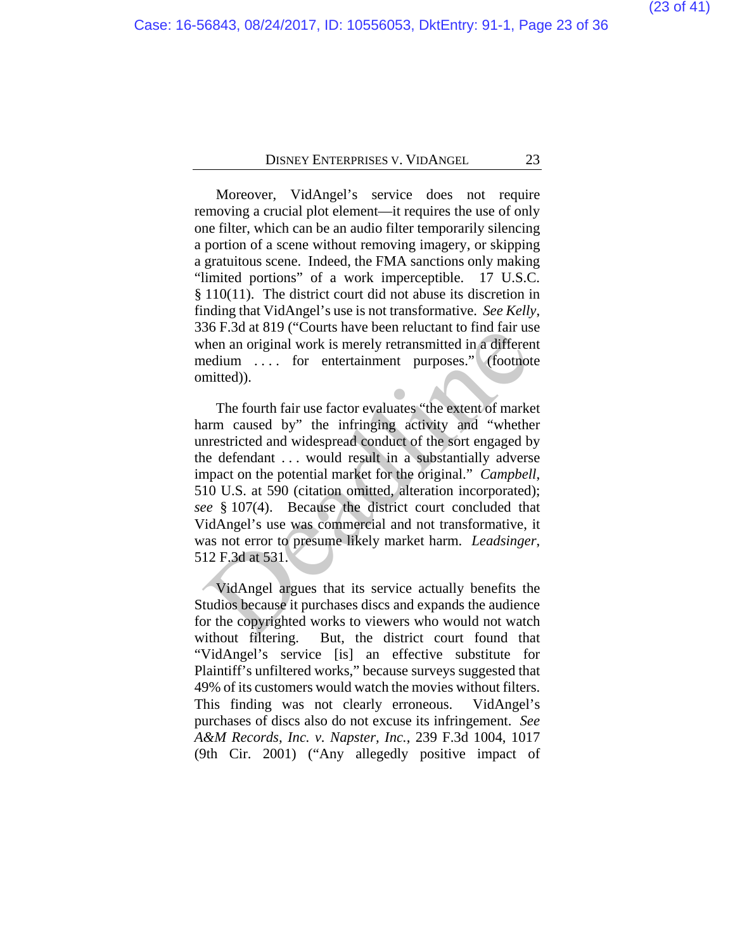Moreover, VidAngel's service does not require removing a crucial plot element—it requires the use of only one filter, which can be an audio filter temporarily silencing a portion of a scene without removing imagery, or skipping a gratuitous scene. Indeed, the FMA sanctions only making "limited portions" of a work imperceptible. 17 U.S.C. § 110(11).The district court did not abuse its discretion in finding that VidAngel's use is not transformative. *See Kelly*, 336 F.3d at 819 ("Courts have been reluctant to find fair use when an original work is merely retransmitted in a different medium . . . . for entertainment purposes." (footnote omitted)).

The fourth fair use factor evaluates "the extent of market harm caused by" the infringing activity and "whether unrestricted and widespread conduct of the sort engaged by the defendant . . . would result in a substantially adverse impact on the potential market for the original." *Campbell*, 510 U.S. at 590 (citation omitted, alteration incorporated); *see* § 107(4). Because the district court concluded that VidAngel's use was commercial and not transformative, it was not error to presume likely market harm. *Leadsinger*, 512 F.3d at 531. 30 F.3u at 819 (Courts have been reluctant to find fair us<br>then an original work is merely retransmitted in a different<br>edium .... for entertainment purposes." (footnot<br>mitted)).<br>The fourth fair use factor evaluates "the e

VidAngel argues that its service actually benefits the Studios because it purchases discs and expands the audience for the copyrighted works to viewers who would not watch without filtering. But, the district court found that "VidAngel's service [is] an effective substitute for Plaintiff's unfiltered works," because surveys suggested that 49% of its customers would watch the movies without filters. This finding was not clearly erroneous. VidAngel's purchases of discs also do not excuse its infringement. *See A&M Records, Inc. v. Napster, Inc.*, 239 F.3d 1004, 1017 (9th Cir. 2001) ("Any allegedly positive impact of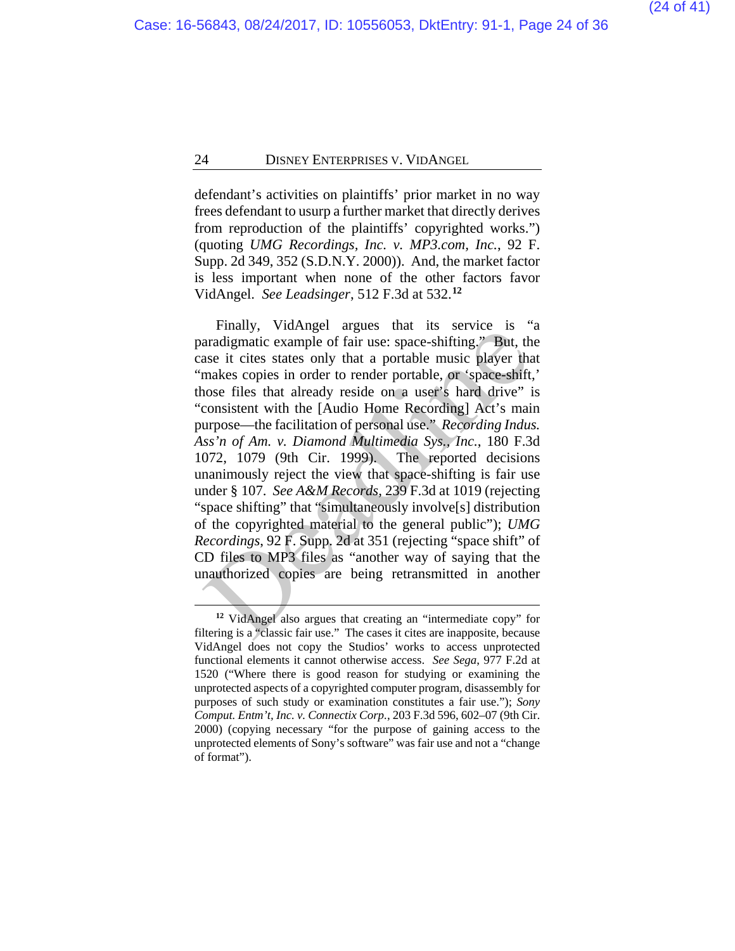defendant's activities on plaintiffs' prior market in no way frees defendant to usurp a further market that directly derives from reproduction of the plaintiffs' copyrighted works.") (quoting *UMG Recordings, Inc. v. MP3.com, Inc.*, 92 F. Supp. 2d 349, 352 (S.D.N.Y. 2000)). And, the market factor is less important when none of the other factors favor VidAngel. *See Leadsinger*, 512 F.3d at 532.**[12](#page-23-0)**

Finally, VidAngel argues that its service is "a paradigmatic example of fair use: space-shifting." But, the case it cites states only that a portable music player that "makes copies in order to render portable, or 'space-shift,' those files that already reside on a user's hard drive" is "consistent with the [Audio Home Recording] Act's main purpose—the facilitation of personal use." *Recording Indus. Ass'n of Am. v. Diamond Multimedia Sys., Inc.*, 180 F.3d 1072, 1079 (9th Cir. 1999). The reported decisions unanimously reject the view that space-shifting is fair use under § 107. *See A&M Records*, 239 F.3d at 1019 (rejecting "space shifting" that "simultaneously involve[s] distribution of the copyrighted material to the general public"); *UMG Recordings*, 92 F. Supp. 2d at 351 (rejecting "space shift" of CD files to MP3 files as "another way of saying that the unauthorized copies are being retransmitted in another **EVALUATE:** Variage and its service and intermediate cample of fair use: space-shifting." But, the asset it cites states only that a portable music player than asset it cites states only that a portable music player than

<span id="page-23-0"></span>**<sup>12</sup>** VidAngel also argues that creating an "intermediate copy" for filtering is a "classic fair use." The cases it cites are inapposite, because VidAngel does not copy the Studios' works to access unprotected functional elements it cannot otherwise access. *See Sega*, 977 F.2d at 1520 ("Where there is good reason for studying or examining the unprotected aspects of a copyrighted computer program, disassembly for purposes of such study or examination constitutes a fair use."); *Sony Comput. Entm't, Inc. v. Connectix Corp.*, 203 F.3d 596, 602–07 (9th Cir. 2000) (copying necessary "for the purpose of gaining access to the unprotected elements of Sony's software" was fair use and not a "change of format").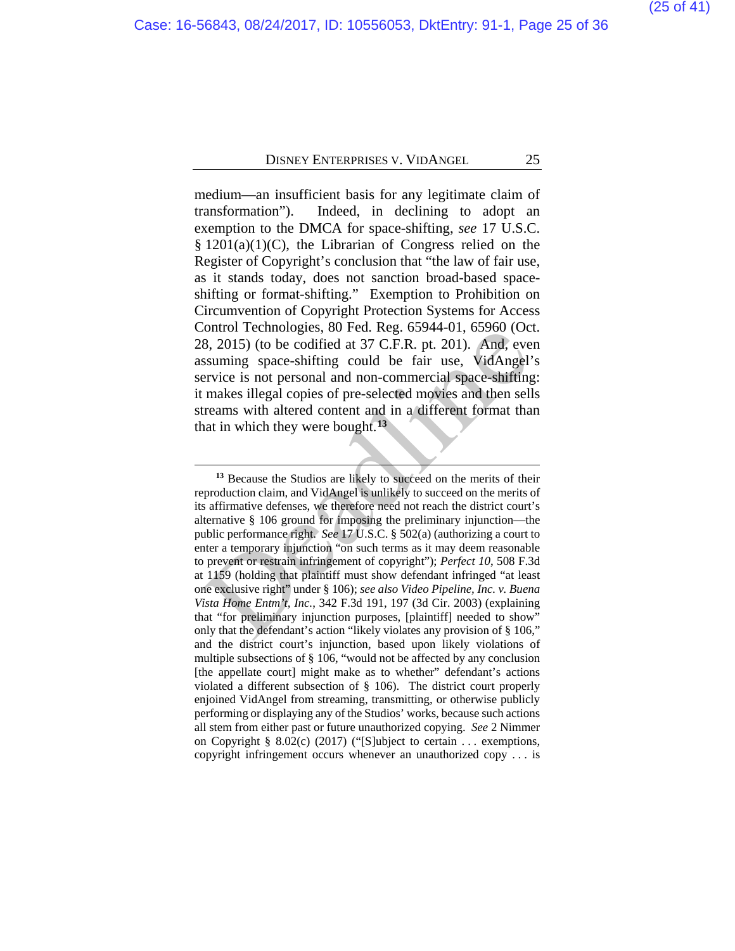medium—an insufficient basis for any legitimate claim of transformation"). Indeed, in declining to adopt an exemption to the DMCA for space-shifting, *see* 17 U.S.C.  $§ 1201(a)(1)(C)$ , the Librarian of Congress relied on the Register of Copyright's conclusion that "the law of fair use, as it stands today, does not sanction broad-based spaceshifting or format-shifting." Exemption to Prohibition on Circumvention of Copyright Protection Systems for Access Control Technologies, 80 Fed. Reg. 65944-01, 65960 (Oct. 28, 2015) (to be codified at 37 C.F.R. pt. 201). And, even assuming space-shifting could be fair use, VidAngel's service is not personal and non-commercial space-shifting: it makes illegal copies of pre-selected movies and then sells streams with altered content and in a different format than that in which they were bought.**<sup>13</sup>**

<span id="page-24-0"></span>**<sup>13</sup>** Because the Studios are likely to succeed on the merits of their reproduction claim, and VidAngel is unlikely to succeed on the merits of its affirmative defenses, we therefore need not reach the district court's alternative § 106 ground for imposing the preliminary injunction—the public performance right. *See* 17 U.S.C. § 502(a) (authorizing a court to enter a temporary injunction "on such terms as it may deem reasonable to prevent or restrain infringement of copyright"); *Perfect 10*, 508 F.3d at 1159 (holding that plaintiff must show defendant infringed "at least one exclusive right" under § 106); *see also Video Pipeline, Inc. v. Buena Vista Home Entm't, Inc.*, 342 F.3d 191, 197 (3d Cir. 2003) (explaining that "for preliminary injunction purposes, [plaintiff] needed to show" only that the defendant's action "likely violates any provision of § 106," and the district court's injunction, based upon likely violations of multiple subsections of § 106, "would not be affected by any conclusion [the appellate court] might make as to whether" defendant's actions violated a different subsection of § 106). The district court properly enjoined VidAngel from streaming, transmitting, or otherwise publicly performing or displaying any of the Studios' works, because such actions all stem from either past or future unauthorized copying. *See* 2 Nimmer on Copyright § 8.02(c) (2017) ("[S]ubject to certain . . . exemptions, copyright infringement occurs whenever an unauthorized copy . . . is ontrol Technologies, so Fed. Reg. 05944-01, 05960 (Oc 8, 2015) (to be codified at 37 C.F.R. pt. 201). And, eve<br>ssuming space-shifting could be fair use, VidAngel'<br>errvice is not personal and non-commercial space-shifting<br>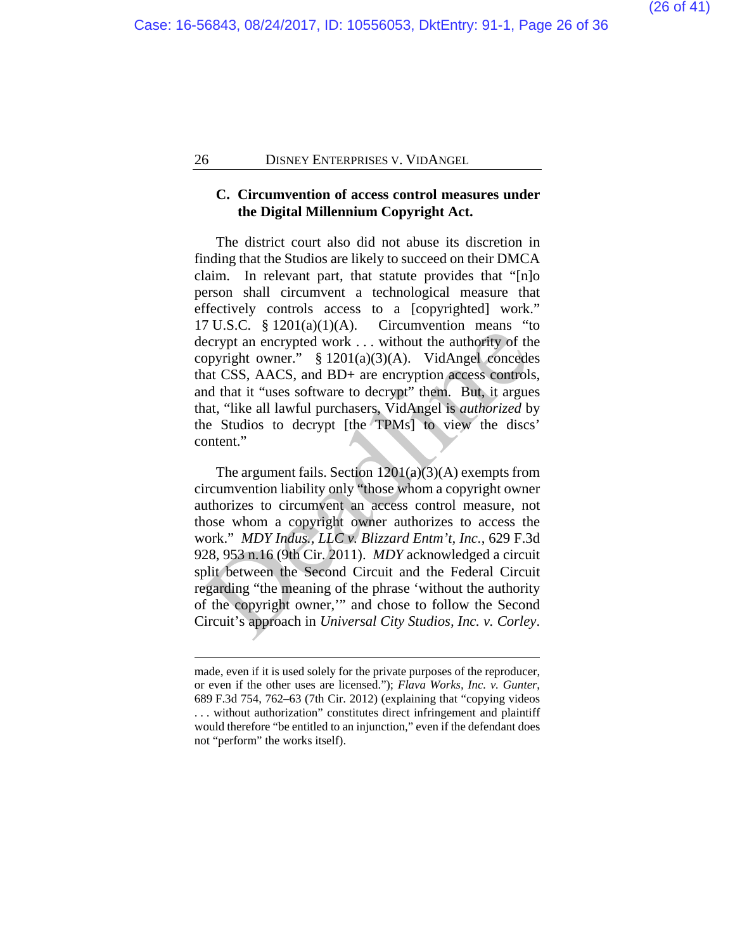#### **C. Circumvention of access control measures under the Digital Millennium Copyright Act.**

The district court also did not abuse its discretion in finding that the Studios are likely to succeed on their DMCA claim. In relevant part, that statute provides that "[n]o person shall circumvent a technological measure that effectively controls access to a [copyrighted] work." 17 U.S.C.  $\frac{8}{3}$  1201(a)(1)(A). Circumvention means "to decrypt an encrypted work . . . without the authority of the copyright owner." § 1201(a)(3)(A). VidAngel concedes that CSS, AACS, and BD+ are encryption access controls, and that it "uses software to decrypt" them. But, it argues that, "like all lawful purchasers, VidAngel is *authorized* by the Studios to decrypt [the TPMs] to view the discs' content."

The argument fails. Section  $1201(a)(3)(A)$  exempts from circumvention liability only "those whom a copyright owner authorizes to circumvent an access control measure, not those whom a copyright owner authorizes to access the work." *MDY Indus., LLC v. Blizzard Entm't, Inc.*, 629 F.3d 928, 953 n.16 (9th Cir. 2011). *MDY* acknowledged a circuit split between the Second Circuit and the Federal Circuit regarding "the meaning of the phrase 'without the authority of the copyright owner,'" and chose to follow the Second Circuit's approach in *Universal City Studios, Inc. v. Corley*. *P* C.S.C. s 1201(a)(1)(A). C. C. C. C. C. C. C. S. C. S. C. S. L. S. C. S. L. S. L. Without the authority of the propyright owner. S 1201(a)(3)(A). VidAngel concederat CSS, AACS, and BD+ are encryption access controls an

made, even if it is used solely for the private purposes of the reproducer, or even if the other uses are licensed."); *Flava Works, Inc. v. Gunter*, 689 F.3d 754, 762–63 (7th Cir. 2012) (explaining that "copying videos . . . without authorization" constitutes direct infringement and plaintiff would therefore "be entitled to an injunction," even if the defendant does not "perform" the works itself).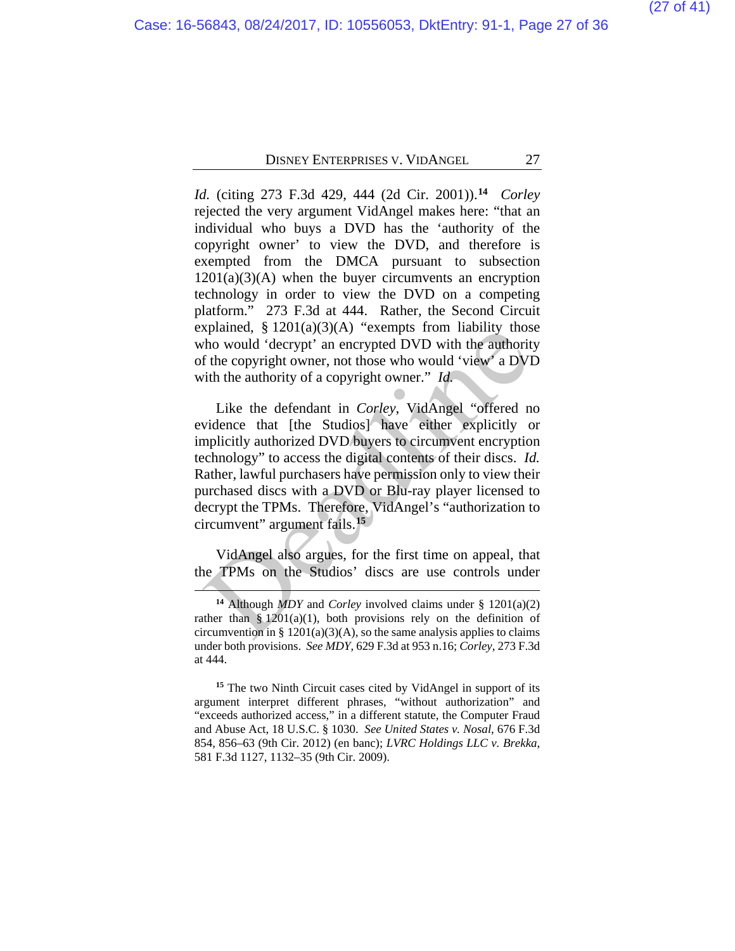*Id.* (citing 273 F.3d 429, 444 (2d Cir. 2001)).**[14](#page-26-0)** *Corley* rejected the very argument VidAngel makes here: "that an individual who buys a DVD has the 'authority of the copyright owner' to view the DVD, and therefore is exempted from the DMCA pursuant to subsection  $1201(a)(3)(A)$  when the buyer circumvents an encryption technology in order to view the DVD on a competing platform." 273 F.3d at 444. Rather, the Second Circuit explained,  $\S 1201(a)(3)(A)$  "exempts from liability those who would 'decrypt' an encrypted DVD with the authority of the copyright owner, not those who would 'view' a DVD with the authority of a copyright owner." *Id.*

Like the defendant in *Corley*, VidAngel "offered no evidence that [the Studios] have either explicitly or implicitly authorized DVD buyers to circumvent encryption technology" to access the digital contents of their discs. *Id.*  Rather, lawful purchasers have permission only to view their purchased discs with a DVD or Blu-ray player licensed to decrypt the TPMs. Therefore, VidAngel's "authorization to circumvent" argument fails.**<sup>15</sup>** Explained, 8 1201(a)(3)(A) exempts from habiny those<br>tho would 'decrypt' an encrypted DVD with the authorit<br>f the copyright owner, not those who would 'view' a DVI<br>tith the authority of a copyright owner." *Id.*<br>Like the

VidAngel also argues, for the first time on appeal, that the TPMs on the Studios' discs are use controls under

**<sup>14</sup>** Although *MDY* and *Corley* involved claims under § 1201(a)(2) rather than  $\frac{8}{201(a)(1)}$ , both provisions rely on the definition of circumvention in §  $1201(a)(3)(A)$ , so the same analysis applies to claims under both provisions. *See MDY*, 629 F.3d at 953 n.16; *Corley*, 273 F.3d at 444.

<span id="page-26-1"></span><span id="page-26-0"></span>**<sup>15</sup>** The two Ninth Circuit cases cited by VidAngel in support of its argument interpret different phrases, "without authorization" and "exceeds authorized access," in a different statute, the Computer Fraud and Abuse Act, 18 U.S.C. § 1030. *See United States v. Nosal*, 676 F.3d 854, 856–63 (9th Cir. 2012) (en banc); *LVRC Holdings LLC v. Brekka*, 581 F.3d 1127, 1132–35 (9th Cir. 2009).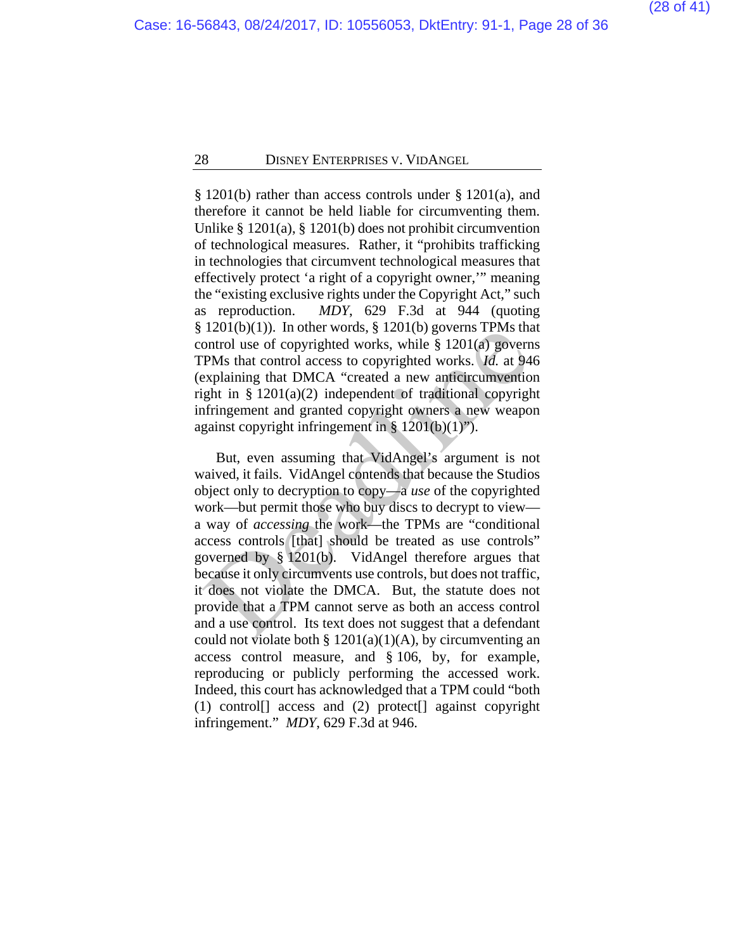§ 1201(b) rather than access controls under § 1201(a), and therefore it cannot be held liable for circumventing them. Unlike § 1201(a), § 1201(b) does not prohibit circumvention of technological measures. Rather, it "prohibits trafficking in technologies that circumvent technological measures that effectively protect 'a right of a copyright owner,'" meaning the "existing exclusive rights under the Copyright Act," such as reproduction. *MDY*, 629 F.3d at 944 (quoting  $§ 1201(b)(1)$ . In other words,  $§ 1201(b)$  governs TPMs that control use of copyrighted works, while § 1201(a) governs TPMs that control access to copyrighted works. *Id.* at 946 (explaining that DMCA "created a new anticircumvention right in § 1201(a)(2) independent of traditional copyright infringement and granted copyright owners a new weapon against copyright infringement in § 1201(b)(1)").

But, even assuming that VidAngel's argument is not waived, it fails. VidAngel contends that because the Studios object only to decryption to copy—a *use* of the copyrighted work—but permit those who buy discs to decrypt to view a way of *accessing* the work—the TPMs are "conditional access controls [that] should be treated as use controls" governed by § 1201(b). VidAngel therefore argues that because it only circumvents use controls, but does not traffic, it does not violate the DMCA. But, the statute does not provide that a TPM cannot serve as both an access control and a use control. Its text does not suggest that a defendant could not violate both  $\S 1201(a)(1)(A)$ , by circumventing an access control measure, and § 106, by, for example, reproducing or publicly performing the accessed work. Indeed, this court has acknowledged that a TPM could "both (1) control[] access and (2) protect[] against copyright infringement." *MDY*, 629 F.3d at 946. 1201(0)(1)). In other words, § 1201(0) governs 1PMs that control use of copyrighted works, while § 1201(a) govern<br>PMs that control access to copyrighted works. *Id.* at 94<br>explaining that DMCA "created a new anticircumven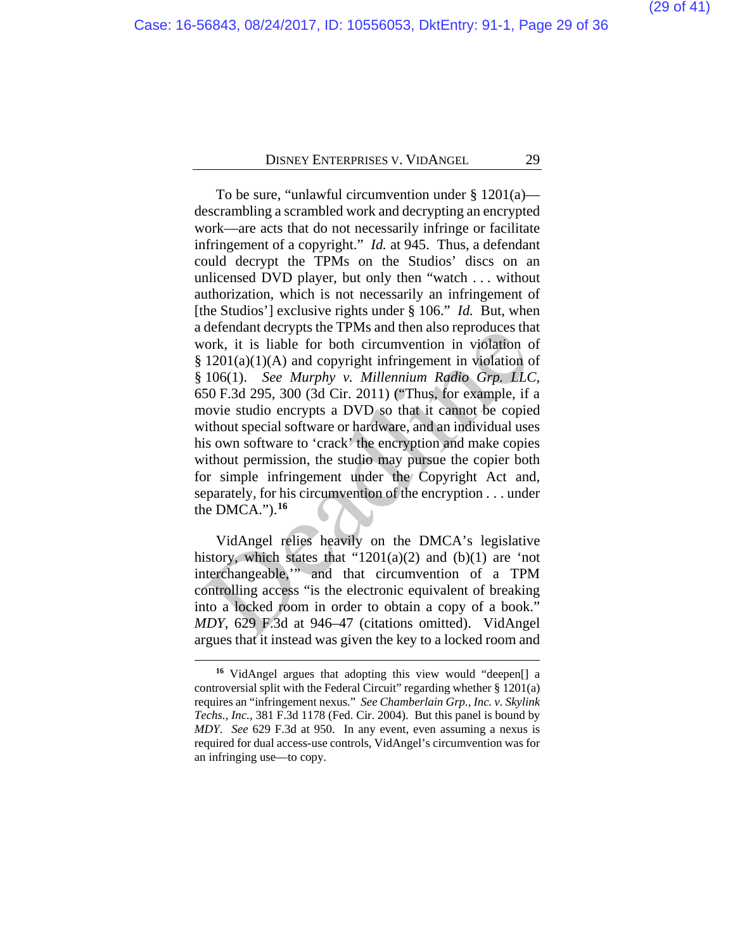To be sure, "unlawful circumvention under  $\S 1201(a)$  descrambling a scrambled work and decrypting an encrypted work—are acts that do not necessarily infringe or facilitate infringement of a copyright." *Id.* at 945. Thus, a defendant could decrypt the TPMs on the Studios' discs on an unlicensed DVD player, but only then "watch . . . without authorization, which is not necessarily an infringement of [the Studios'] exclusive rights under § 106." *Id.* But, when a defendant decrypts the TPMs and then also reproduces that work, it is liable for both circumvention in violation of  $§ 1201(a)(1)(A)$  and copyright infringement in violation of § 106(1). *See Murphy v. Millennium Radio Grp. LLC*, 650 F.3d 295, 300 (3d Cir. 2011) ("Thus, for example, if a movie studio encrypts a DVD so that it cannot be copied without special software or hardware, and an individual uses his own software to 'crack' the encryption and make copies without permission, the studio may pursue the copier both for simple infringement under the Copyright Act and, separately, for his circumvention of the encryption . . . under the DMCA.").**<sup>16</sup>** detendant decrypts the TFMs and then also reproduces that<br>ork, it is liable for both circumvention in violation c<br>1201(a)(1)(A) and copyright infringement in violation c<br>106(1). See Murphy v. Millennium Radio Grp. LLC<br>50

VidAngel relies heavily on the DMCA's legislative history, which states that " $1201(a)(2)$  and  $(b)(1)$  are 'not interchangeable,'" and that circumvention of a TPM controlling access "is the electronic equivalent of breaking into a locked room in order to obtain a copy of a book." *MDY*, 629 F.3d at 946–47 (citations omitted). VidAngel argues that it instead was given the key to a locked room and

<span id="page-28-0"></span>**<sup>16</sup>** VidAngel argues that adopting this view would "deepen[] a controversial split with the Federal Circuit" regarding whether § 1201(a) requires an "infringement nexus." *See Chamberlain Grp., Inc. v. Skylink Techs., Inc.*, 381 F.3d 1178 (Fed. Cir. 2004).But this panel is bound by *MDY*. *See* 629 F.3d at 950. In any event, even assuming a nexus is required for dual access-use controls, VidAngel's circumvention was for an infringing use—to copy.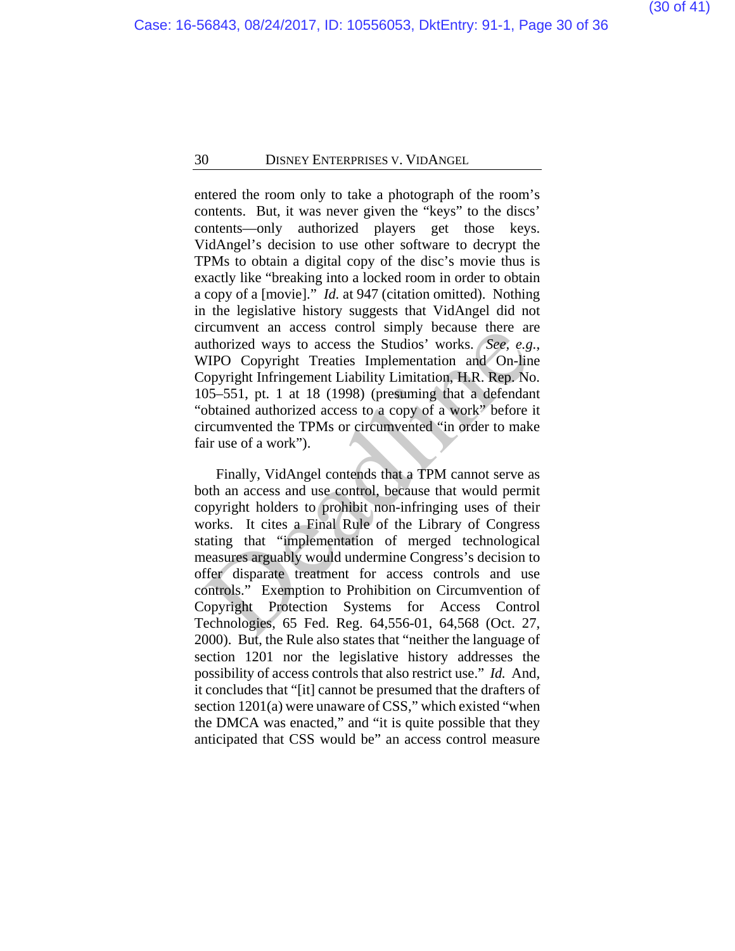entered the room only to take a photograph of the room's contents. But, it was never given the "keys" to the discs' contents—only authorized players get those keys. VidAngel's decision to use other software to decrypt the TPMs to obtain a digital copy of the disc's movie thus is exactly like "breaking into a locked room in order to obtain a copy of a [movie]." *Id.* at 947 (citation omitted). Nothing in the legislative history suggests that VidAngel did not circumvent an access control simply because there are authorized ways to access the Studios' works. *See, e.g.*, WIPO Copyright Treaties Implementation and On-line Copyright Infringement Liability Limitation, H.R. Rep. No. 105–551, pt. 1 at 18 (1998) (presuming that a defendant "obtained authorized access to a copy of a work" before it circumvented the TPMs or circumvented "in order to make fair use of a work").

Finally, VidAngel contends that a TPM cannot serve as both an access and use control, because that would permit copyright holders to prohibit non-infringing uses of their works. It cites a Final Rule of the Library of Congress stating that "implementation of merged technological measures arguably would undermine Congress's decision to offer disparate treatment for access controls and use controls." Exemption to Prohibition on Circumvention of Copyright Protection Systems for Access Control Technologies, 65 Fed. Reg. 64,556-01, 64,568 (Oct. 27, 2000). But, the Rule also states that "neither the language of section 1201 nor the legislative history addresses the possibility of access controls that also restrict use." *Id.* And, it concludes that "[it] cannot be presumed that the drafters of section 1201(a) were unaware of CSS," which existed "when the DMCA was enacted," and "it is quite possible that they anticipated that CSS would be" an access control measure Ireunivent an access control simply because there are<br>
uthorized ways to access the Studios' works. *See, e.g*<br>
VIPO Copyright Irreingement Liability Limitation, H.R. Rep. No<br>
105–551, pt. 1 at 18 (1998) (presuming that a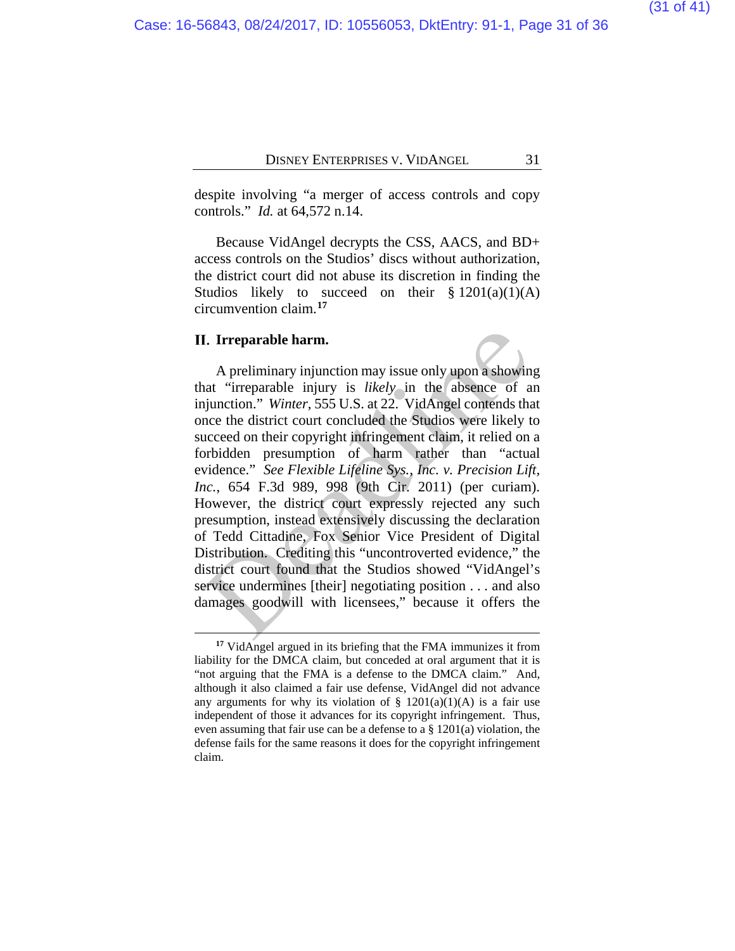despite involving "a merger of access controls and copy controls." *Id.* at 64,572 n.14.

Because VidAngel decrypts the CSS, AACS, and BD+ access controls on the Studios' discs without authorization, the district court did not abuse its discretion in finding the Studios likely to succeed on their  $\S 1201(a)(1)(A)$ circumvention claim.**[17](#page-30-0)**

#### **II.** Irreparable harm.

 $\overline{a}$ 

A preliminary injunction may issue only upon a showing that "irreparable injury is *likely* in the absence of an injunction." *Winter*, 555 U.S. at 22. VidAngel contends that once the district court concluded the Studios were likely to succeed on their copyright infringement claim, it relied on a forbidden presumption of harm rather than "actual evidence." *See Flexible Lifeline Sys., Inc. v. Precision Lift, Inc.*, 654 F.3d 989, 998 (9th Cir. 2011) (per curiam). However, the district court expressly rejected any such presumption, instead extensively discussing the declaration of Tedd Cittadine, Fox Senior Vice President of Digital Distribution. Crediting this "uncontroverted evidence," the district court found that the Studios showed "VidAngel's service undermines [their] negotiating position . . . and also damages goodwill with licensees," because it offers the **I. Irreparable harm.**<br>
A preliminary injunction may issue only upon a showin<br>
aat "irreparable injury is *likely* in the absence of a<br>
ajunction." Winter, 555 U.S. at 22. VidAngel contends tha<br>
mee the district court con

<span id="page-30-0"></span>**<sup>17</sup>** VidAngel argued in its briefing that the FMA immunizes it from liability for the DMCA claim, but conceded at oral argument that it is "not arguing that the FMA is a defense to the DMCA claim." And, although it also claimed a fair use defense, VidAngel did not advance any arguments for why its violation of  $\S$  1201(a)(1)(A) is a fair use independent of those it advances for its copyright infringement. Thus, even assuming that fair use can be a defense to a § 1201(a) violation, the defense fails for the same reasons it does for the copyright infringement claim.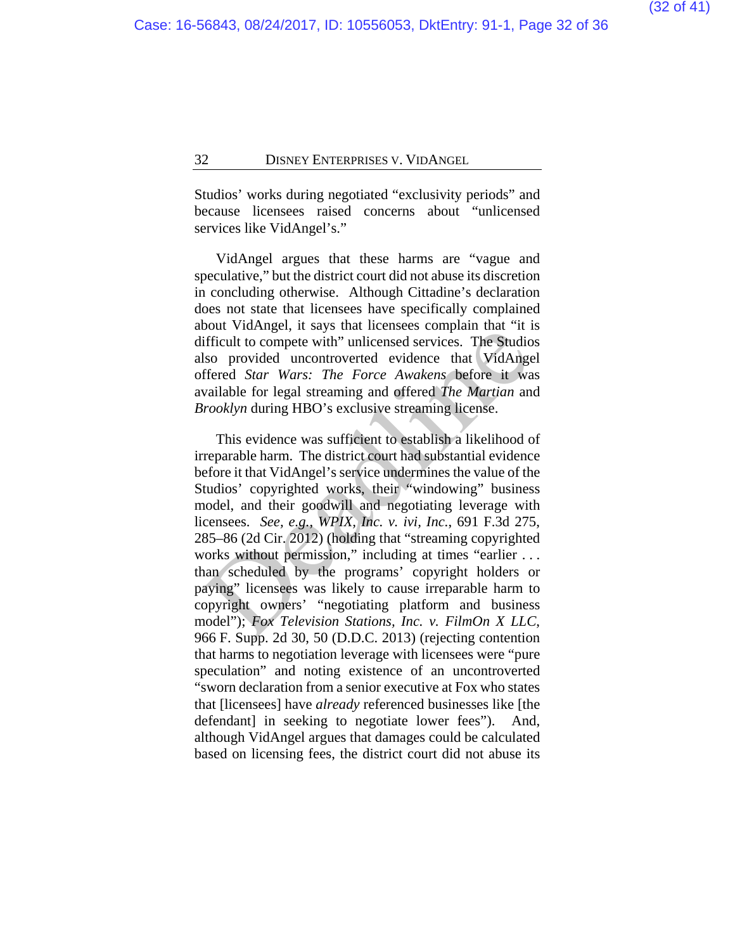Studios' works during negotiated "exclusivity periods" and because licensees raised concerns about "unlicensed services like VidAngel's."

VidAngel argues that these harms are "vague and speculative," but the district court did not abuse its discretion in concluding otherwise. Although Cittadine's declaration does not state that licensees have specifically complained about VidAngel, it says that licensees complain that "it is difficult to compete with" unlicensed services. The Studios also provided uncontroverted evidence that VidAngel offered *Star Wars: The Force Awakens* before it was available for legal streaming and offered *The Martian* and *Brooklyn* during HBO's exclusive streaming license.

This evidence was sufficient to establish a likelihood of irreparable harm. The district court had substantial evidence before it that VidAngel's service undermines the value of the Studios' copyrighted works, their "windowing" business model, and their goodwill and negotiating leverage with licensees. *See, e.g.*, *WPIX, Inc. v. ivi, Inc.*, 691 F.3d 275, 285–86 (2d Cir. 2012) (holding that "streaming copyrighted works without permission," including at times "earlier ... than scheduled by the programs' copyright holders or paying" licensees was likely to cause irreparable harm to copyright owners' "negotiating platform and business model"); *Fox Television Stations, Inc. v. FilmOn X LLC*, 966 F. Supp. 2d 30, 50 (D.D.C. 2013) (rejecting contention that harms to negotiation leverage with licensees were "pure speculation" and noting existence of an uncontroverted "sworn declaration from a senior executive at Fox who states that [licensees] have *already* referenced businesses like [the defendant] in seeking to negotiate lower fees"). And, although VidAngel argues that damages could be calculated based on licensing fees, the district court did not abuse its busitant ware with "unicensed services. The Studies<br>Ifficult to compete with "unicensed services. The Studies<br>Iso provided uncontroverted evidence that VidAnge<br>ffered *Star Wars: The Force Awakens* before it was<br>ulable fo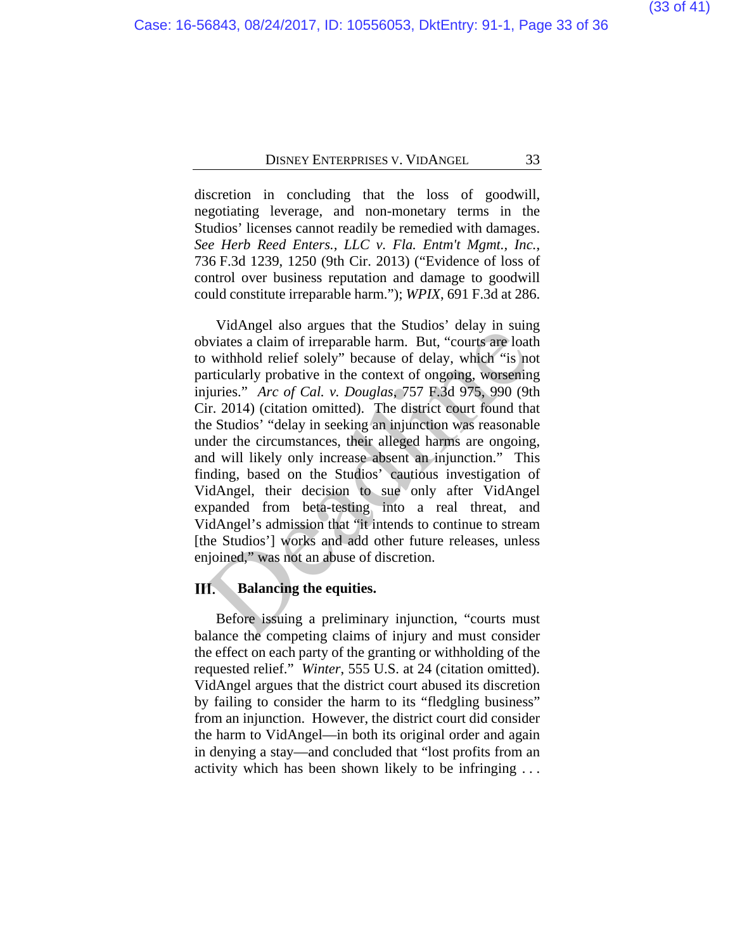discretion in concluding that the loss of goodwill, negotiating leverage, and non-monetary terms in the Studios' licenses cannot readily be remedied with damages. *See Herb Reed Enters., LLC v. Fla. Entm't Mgmt., Inc.*, 736 F.3d 1239, 1250 (9th Cir. 2013) ("Evidence of loss of control over business reputation and damage to goodwill could constitute irreparable harm."); *WPIX*, 691 F.3d at 286.

VidAngel also argues that the Studios' delay in suing obviates a claim of irreparable harm. But, "courts are loath to withhold relief solely" because of delay, which "is not particularly probative in the context of ongoing, worsening injuries." *Arc of Cal. v. Douglas*, 757 F.3d 975, 990 (9th Cir. 2014) (citation omitted). The district court found that the Studios' "delay in seeking an injunction was reasonable under the circumstances, their alleged harms are ongoing, and will likely only increase absent an injunction." This finding, based on the Studios' cautious investigation of VidAngel, their decision to sue only after VidAngel expanded from beta-testing into a real threat, and VidAngel's admission that "it intends to continue to stream [the Studios'] works and add other future releases, unless enjoined," was not an abuse of discretion. Variance and the Studios dentrified that is the Studios dentrified that the busines a claim of irreparable harm. But, "courts are loat articularly probative in the context of ongoing, worsening in articularly probative in

#### **Balancing the equities.**

Before issuing a preliminary injunction, "courts must balance the competing claims of injury and must consider the effect on each party of the granting or withholding of the requested relief." *Winter*, 555 U.S. at 24 (citation omitted). VidAngel argues that the district court abused its discretion by failing to consider the harm to its "fledgling business" from an injunction. However, the district court did consider the harm to VidAngel—in both its original order and again in denying a stay—and concluded that "lost profits from an activity which has been shown likely to be infringing . . .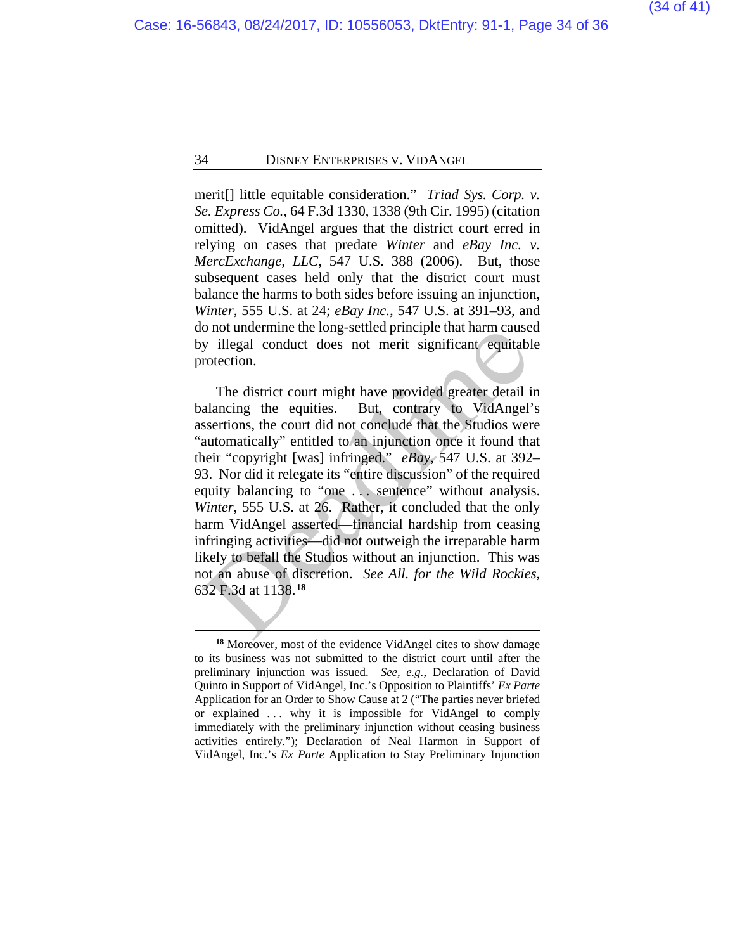merit[] little equitable consideration." *Triad Sys. Corp. v. Se. Express Co.*, 64 F.3d 1330, 1338 (9th Cir. 1995) (citation omitted).VidAngel argues that the district court erred in relying on cases that predate *Winter* and *eBay Inc. v. MercExchange, LLC*, 547 U.S. 388 (2006). But, those subsequent cases held only that the district court must balance the harms to both sides before issuing an injunction, *Winter*, 555 U.S. at 24; *eBay Inc.*, 547 U.S. at 391–93, and do not undermine the long-settled principle that harm caused by illegal conduct does not merit significant equitable protection.

The district court might have provided greater detail in balancing the equities. But, contrary to VidAngel's assertions, the court did not conclude that the Studios were "automatically" entitled to an injunction once it found that their "copyright [was] infringed." *eBay*, 547 U.S. at 392– 93. Nor did it relegate its "entire discussion" of the required equity balancing to "one . . . sentence" without analysis. *Winter*, 555 U.S. at 26. Rather, it concluded that the only harm VidAngel asserted—financial hardship from ceasing infringing activities—did not outweigh the irreparable harm likely to befall the Studios without an injunction. This was not an abuse of discretion. *See All. for the Wild Rockies*, 632 F.3d at 1138.**<sup>18</sup>** o not undernine the long-settled principle that harm cause<br>y illegal conduct does not merit significant equitabl<br>rotection.<br>The district court might have provided greater detail i<br>alancing the equities. But, contrary to V

<span id="page-33-0"></span>**<sup>18</sup>** Moreover, most of the evidence VidAngel cites to show damage to its business was not submitted to the district court until after the preliminary injunction was issued. *See, e.g.*, Declaration of David Quinto in Support of VidAngel, Inc.'s Opposition to Plaintiffs' *Ex Parte* Application for an Order to Show Cause at 2 ("The parties never briefed or explained . . . why it is impossible for VidAngel to comply immediately with the preliminary injunction without ceasing business activities entirely."); Declaration of Neal Harmon in Support of VidAngel, Inc.'s *Ex Parte* Application to Stay Preliminary Injunction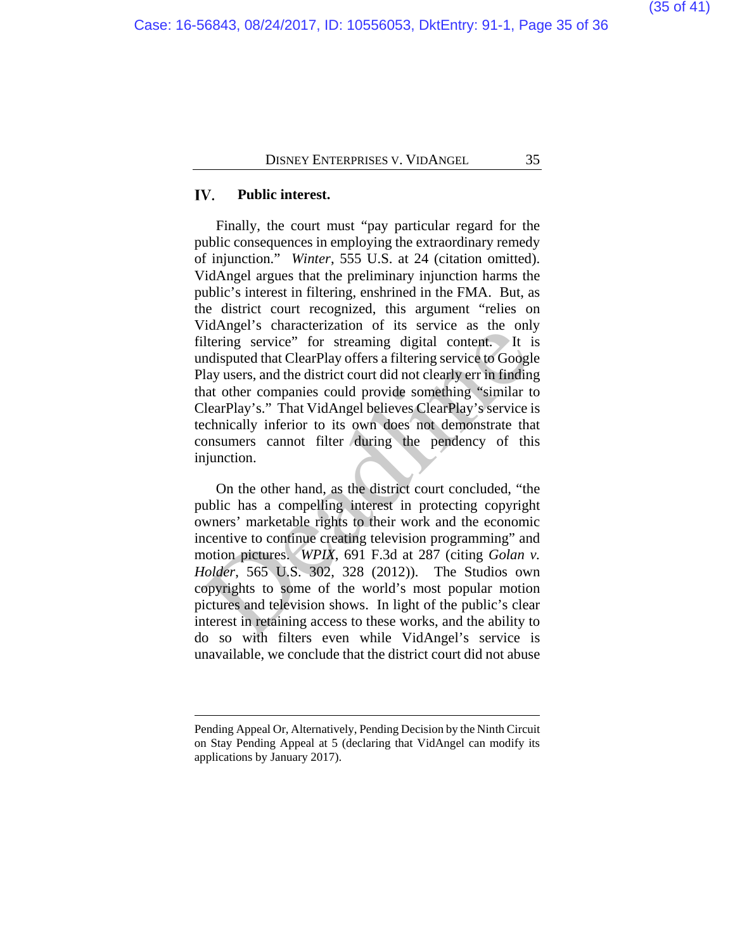#### IV. **Public interest.**

 $\overline{a}$ 

Finally, the court must "pay particular regard for the public consequences in employing the extraordinary remedy of injunction." *Winter*, 555 U.S. at 24 (citation omitted). VidAngel argues that the preliminary injunction harms the public's interest in filtering, enshrined in the FMA. But, as the district court recognized, this argument "relies on VidAngel's characterization of its service as the only filtering service" for streaming digital content. It is undisputed that ClearPlay offers a filtering service to Google Play users, and the district court did not clearly err in finding that other companies could provide something "similar to ClearPlay's." That VidAngel believes ClearPlay's service is technically inferior to its own does not demonstrate that consumers cannot filter during the pendency of this injunction.

On the other hand, as the district court concluded, "the public has a compelling interest in protecting copyright owners' marketable rights to their work and the economic incentive to continue creating television programming" and motion pictures. *WPIX*, 691 F.3d at 287 (citing *Golan v. Holder*, 565 U.S. 302, 328 (2012)). The Studios own copyrights to some of the world's most popular motion pictures and television shows. In light of the public's clear interest in retaining access to these works, and the ability to do so with filters even while VidAngel's service is unavailable, we conclude that the district court did not abuse filtring service" for streaming digital content. It is<br>thering service" for streaming digital content. It is<br>disiputed that ClearPlay offers a filtering service to Googl<br>lay users, and the district court did not clearly e

Pending Appeal Or, Alternatively, Pending Decision by the Ninth Circuit on Stay Pending Appeal at 5 (declaring that VidAngel can modify its applications by January 2017).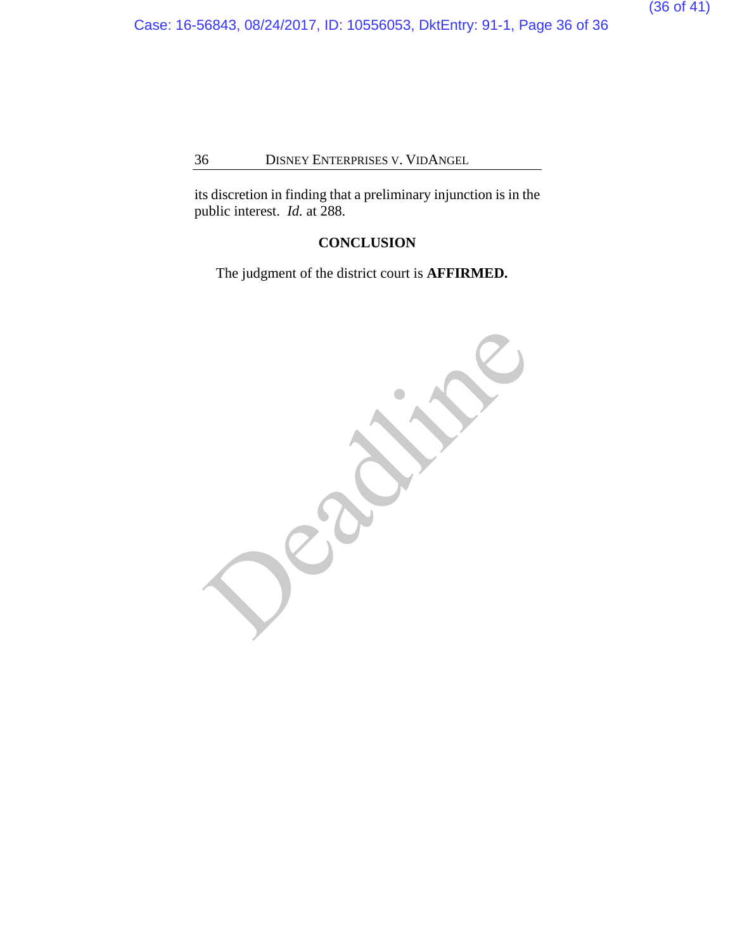Case: 16-56843, 08/24/2017, ID: 10556053, DktEntry: 91-1, Page 36 of 36

### 36 DISNEY ENTERPRISES V. VIDANGEL

its discretion in finding that a preliminary injunction is in the public interest. *Id.* at 288.

### **CONCLUSION**

The judgment of the district court is **AFFIRMED.**

Deadlished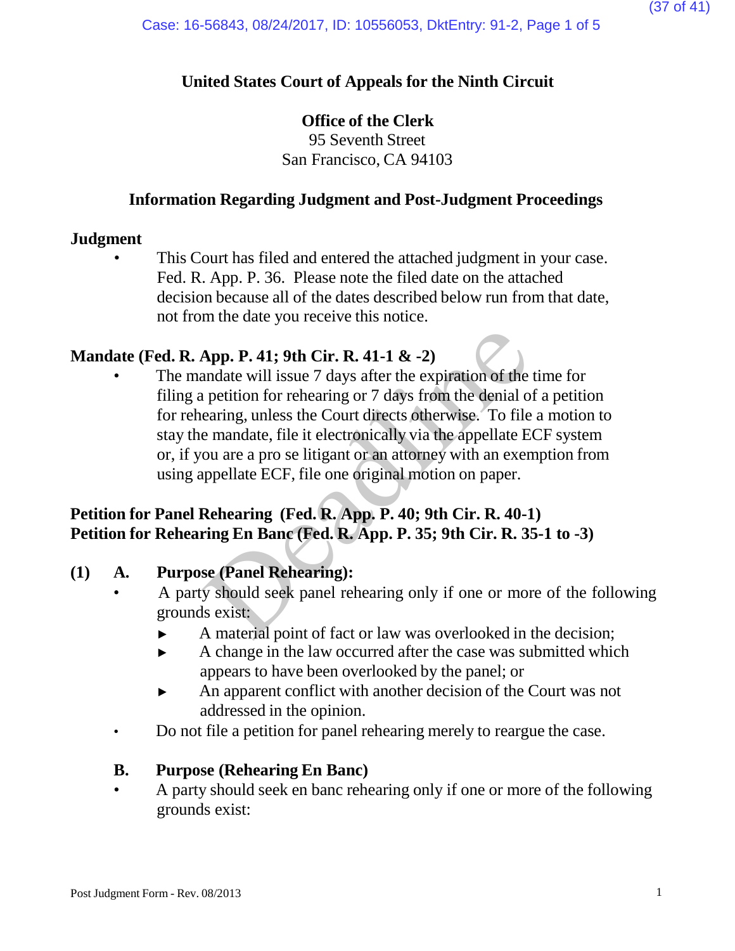## **United States Court of Appeals for the Ninth Circuit**

### **Office of the Clerk**

95 Seventh Street San Francisco, CA 94103

### **Information Regarding Judgment and Post-Judgment Proceedings**

### **Judgment**

This Court has filed and entered the attached judgment in your case. Fed. R. App. P. 36. Please note the filed date on the attached decision because all of the dates described below run from that date, not from the date you receive this notice.

### **Mandate (Fed. R. App. P. 41; 9th Cir. R. 41-1 & -2)**

The mandate will issue 7 days after the expiration of the time for filing a petition for rehearing or 7 days from the denial of a petition for rehearing, unless the Court directs otherwise. To file a motion to stay the mandate, file it electronically via the appellate ECF system or, if you are a pro se litigant or an attorney with an exemption from using appellate ECF, file one original motion on paper. App. P. 41; 9th Cir. R. 41-1  $\&$  -2)<br>andate will issue 7 days after the expiration of the<br>petition for rehearing or 7 days from the denial o<br>earing, unless the Court directs otherwise. To file<br>e mandate, file it electron

## **Petition for Panel Rehearing (Fed. R. App. P. 40; 9th Cir. R. 40-1) Petition for Rehearing En Banc (Fed. R. App. P. 35; 9th Cir. R. 35-1 to -3)**

### **(1) A. Purpose (Panel Rehearing):**

- A party should seek panel rehearing only if one or more of the following grounds exist:
	- ► A material point of fact or law was overlooked in the decision;
	- ► A change in the law occurred after the case was submitted which appears to have been overlooked by the panel; or
	- ► An apparent conflict with another decision of the Court was not addressed in the opinion.
- Do not file a petition for panel rehearing merely to reargue the case.

### **B. Purpose (Rehearing En Banc)**

• A party should seek en banc rehearing only if one or more of the following grounds exist: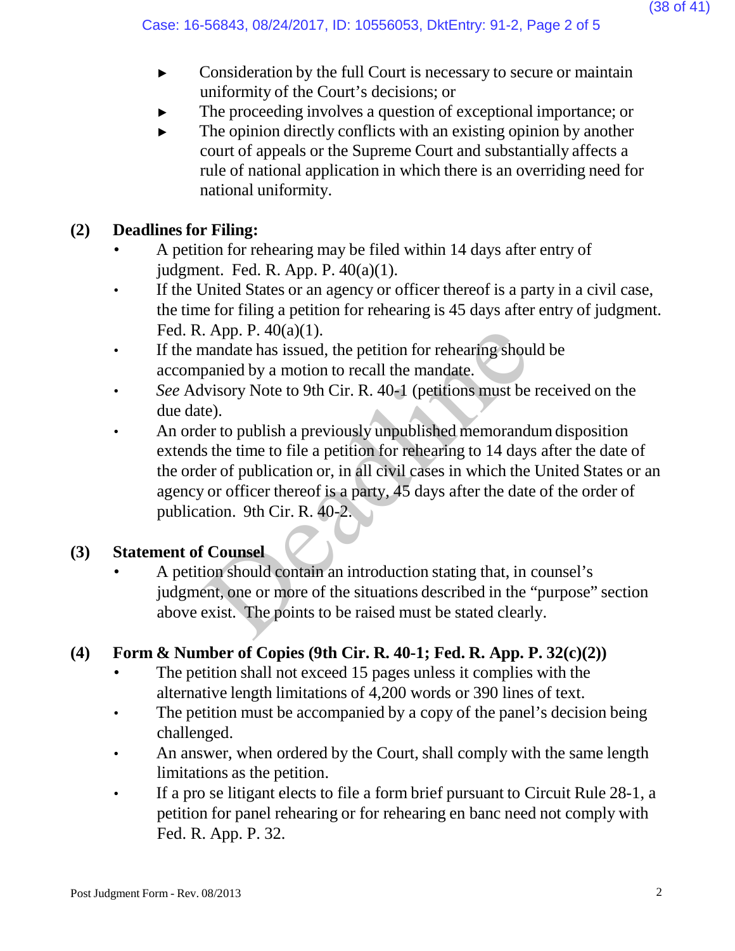- ► Consideration by the full Court is necessary to secure or maintain uniformity of the Court's decisions; or
- The proceeding involves a question of exceptional importance; or
- $\blacktriangleright$  The opinion directly conflicts with an existing opinion by another court of appeals or the Supreme Court and substantially affects a rule of national application in which there is an overriding need for national uniformity.

# **(2) Deadlines for Filing:**

- A petition for rehearing may be filed within 14 days after entry of judgment. Fed. R. App. P. 40(a)(1).
- If the United States or an agency or officer thereof is a party in a civil case, the time for filing a petition for rehearing is 45 days after entry of judgment. Fed. R. App. P. 40(a)(1).
- If the mandate has issued, the petition for rehearing should be accompanied by a motion to recall the mandate.
- *See* Advisory Note to 9th Cir. R. 40-1 (petitions must be received on the due date).
- An order to publish a previously unpublished memorandum disposition extends the time to file a petition for rehearing to 14 days after the date of the order of publication or, in all civil cases in which the United States or an agency or officer thereof is a party, 45 days after the date of the order of publication. 9th Cir. R. 40-2. Example 1. App. P. 40(a)(1).<br>
mandate has issued, the petition for rehearing shou<br>
panied by a motion to recall the mandate.<br>
wisory Note to 9th Cir. R. 40-1 (petitions must be<br>
te).<br>
er to publish a previously unpublishe

# **(3) Statement of Counsel**

• A petition should contain an introduction stating that, in counsel's judgment, one or more of the situations described in the "purpose" section above exist. The points to be raised must be stated clearly.

# **(4) Form & Number of Copies (9th Cir. R. 40-1; Fed. R. App. P. 32(c)(2))**

- The petition shall not exceed 15 pages unless it complies with the alternative length limitations of 4,200 words or 390 lines of text.
- The petition must be accompanied by a copy of the panel's decision being challenged.
- An answer, when ordered by the Court, shall comply with the same length limitations as the petition.
- If a pro se litigant elects to file a form brief pursuant to Circuit Rule 28-1, a petition for panel rehearing or for rehearing en banc need not comply with Fed. R. App. P. 32.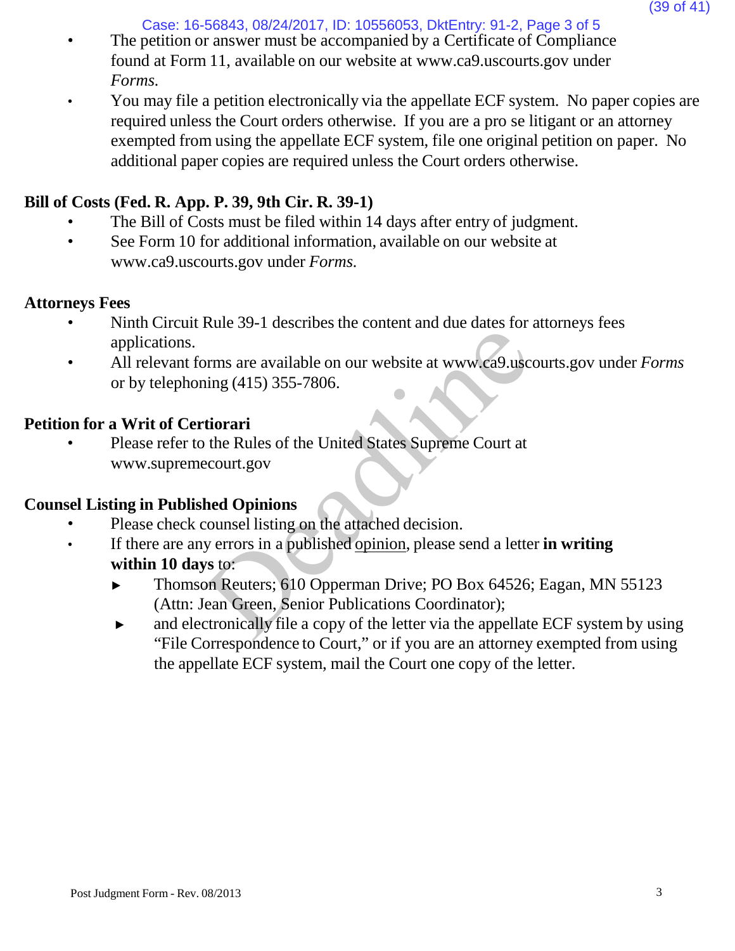Case: 16-56843, 08/24/2017, ID: 10556053, DktEntry: 91-2, Page 3 of 5

- The petition or answer must be accompanied by a Certificate of Compliance found at Form 11, available on our website [at www.ca9.uscourts.gov](http://www.ca9.uscourts.gov/) under *Forms.*
- You may file a petition electronically via the appellate ECF system. No paper copies are required unless the Court orders otherwise. If you are a pro se litigant or an attorney exempted from using the appellate ECF system, file one original petition on paper. No additional paper copies are required unless the Court orders otherwise.

# **Bill of Costs (Fed. R. App. P. 39, 9th Cir. R. 39-1)**

- The Bill of Costs must be filed within 14 days after entry of judgment.
- See Form 10 for addi[t](http://www.ca9.uscourts.gov/)ional information, available on our website at [www.ca9.uscourts.gov](http://www.ca9.uscourts.gov/) under *Forms.*

# **Attorneys Fees**

- Ninth Circuit Rule 39-1 describes the content and due dates for attorneys fees applications.
- All relevant forms are available on our website at [www.ca9.uscourts.gov](http://www.ca9.uscourts.gov/) under *Forms* or by telephoning (415) 355-7806.

# **Petition for a Writ of Certiorari**

• Please refer to the Rules of the United States Supreme Court at [www.supremecourt.gov](http://www.supremecourt.gov/) France of Tatastrose are contain and the tance of<br>
Dermis are available on our website at www.ca9.usc<br>
ing (415) 355-7806.<br> **tiorari**<br>
the Rules of the United States Supreme Court at<br>
ecourt.gov<br> **hed Opinions**<br>
counsel li

# **Counsel Listing in Published Opinions**

- Please check counsel listing on the attached decision.
- If there are any errors in a published opinion, please send a letter **in writing within 10 days** to:
	- ► Thomson Reuters; 610 Opperman Drive; PO Box 64526; Eagan, MN 55123 (Attn: Jean Green, Senior Publications Coordinator);
	- ► and electronically file a copy of the letter via the appellate ECF system by using "File Correspondence to Court," or if you are an attorney exempted from using the appellate ECF system, mail the Court one copy of the letter.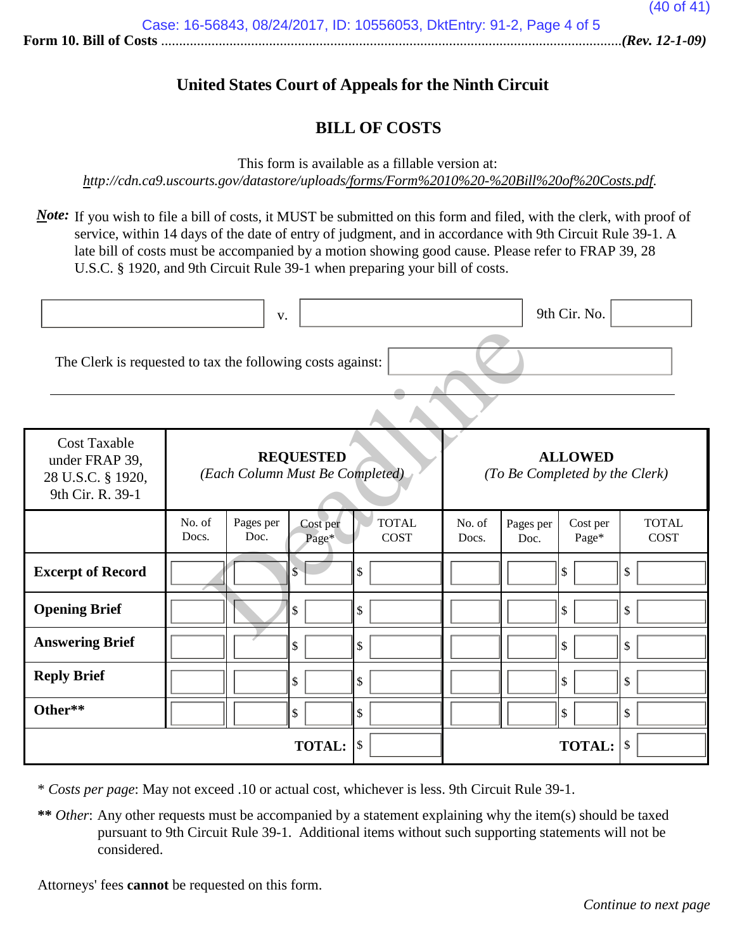### **United States Court of Appeals for the Ninth Circuit**

### **BILL OF COSTS**

This form is available as a fillable version at:

*<http://cdn.ca9.uscourts.gov/datastore/uploads/forms/Form%2010%20-%20Bill%20of%20Costs.pdf>*.

*Note*: If you wish to file a bill of costs, it MUST be submitted on this form and filed, with the clerk, with proof of service, within 14 days of the date of entry of judgment, and in accordance with 9th Circuit Rule 39-1. A late bill of costs must be accompanied by a motion showing good cause. Please refer to FRAP 39, 28 U.S.C. § 1920, and 9th Circuit Rule 39-1 when preparing your bill of costs.

|                                                                                |                                                     | V.                |                         |                             |                                                  |                     | 9th Cir. No.      |                             |
|--------------------------------------------------------------------------------|-----------------------------------------------------|-------------------|-------------------------|-----------------------------|--------------------------------------------------|---------------------|-------------------|-----------------------------|
| The Clerk is requested to tax the following costs against:                     |                                                     |                   |                         |                             |                                                  |                     |                   |                             |
| <b>Cost Taxable</b><br>under FRAP 39,<br>28 U.S.C. § 1920,<br>9th Cir. R. 39-1 | <b>REQUESTED</b><br>(Each Column Must Be Completed) |                   |                         |                             | <b>ALLOWED</b><br>(To Be Completed by the Clerk) |                     |                   |                             |
|                                                                                | No. of<br>Docs.                                     | Pages per<br>Doc. | Cost per<br>Page*       | <b>TOTAL</b><br><b>COST</b> | No. of<br>Docs.                                  | Pages per<br>Doc.   | Cost per<br>Page* | <b>TOTAL</b><br><b>COST</b> |
| <b>Excerpt of Record</b>                                                       |                                                     |                   | $\overline{\mathbb{S}}$ | \$                          |                                                  |                     | \$                | \$                          |
| <b>Opening Brief</b>                                                           |                                                     |                   | \$                      | \$                          |                                                  |                     | \$                | \$                          |
| <b>Answering Brief</b>                                                         |                                                     |                   | \$                      | \$                          |                                                  |                     | \$                | \$                          |
| <b>Reply Brief</b>                                                             |                                                     |                   | \$                      | \$                          |                                                  |                     | \$                | \$                          |
| Other**                                                                        |                                                     |                   | \$                      | \$                          |                                                  |                     | \$                | $\mathcal{S}$               |
|                                                                                |                                                     |                   | <b>TOTAL:</b>           | $\vert$ \$                  |                                                  | <b>TOTAL:</b><br>\$ |                   |                             |

\* *Costs per page*: May not exceed .10 or actual cost, whichever is less. 9th Circuit Rule 39-1.

**\*\*** *Other*: Any other requests must be accompanied by a statement explaining why the item(s) should be taxed pursuant to 9th Circuit Rule 39-1. Additional items without such supporting statements will not be considered.

Attorneys' fees **cannot** be requested on this form.